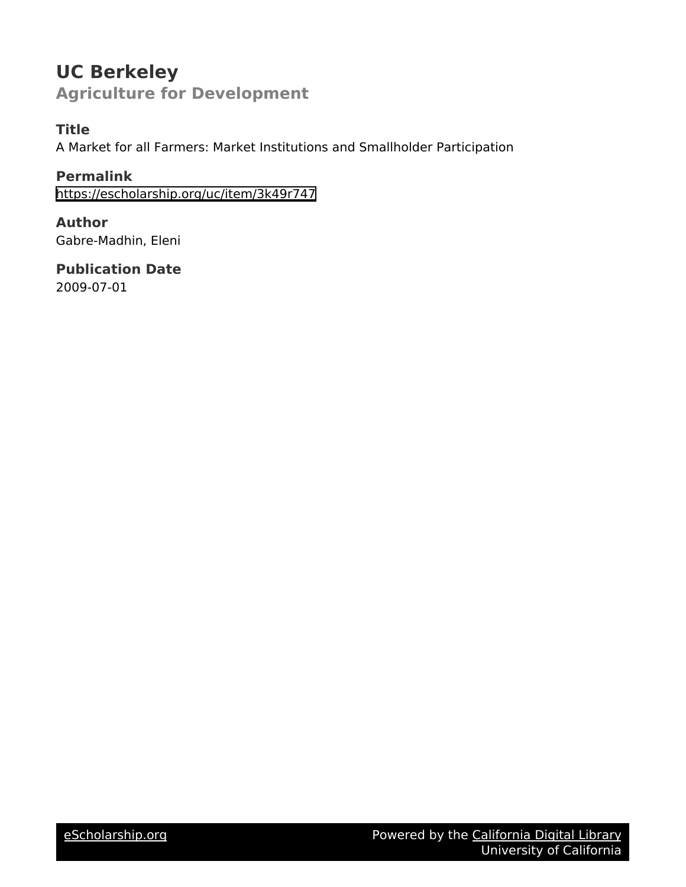# **UC Berkeley Agriculture for Development**

### **Title**

A Market for all Farmers: Market Institutions and Smallholder Participation

**Permalink** <https://escholarship.org/uc/item/3k49r747>

**Author** Gabre-Madhin, Eleni

**Publication Date** 2009-07-01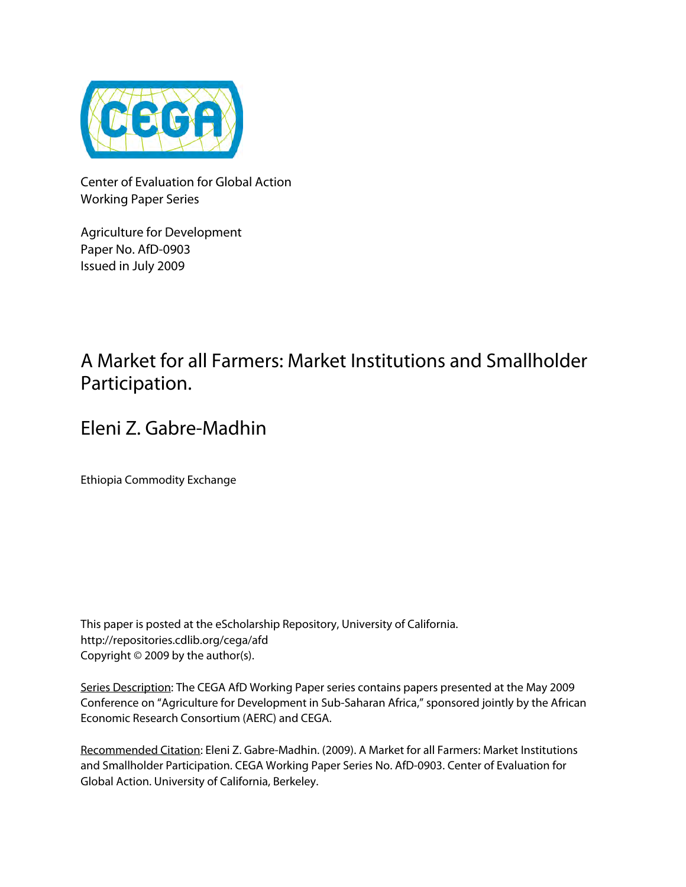

Center of Evaluation for Global Action Working Paper Series

Agriculture for Development Paper No. AfD-0903 Issued in July 2009

# A Market for all Farmers: Market Institutions and Smallholder Participation.

# Eleni Z. Gabre-Madhin

Ethiopia Commodity Exchange

This paper is posted at the eScholarship Repository, University of California. http://repositories.cdlib.org/cega/afd Copyright © 2009 by the author(s).

Series Description: The CEGA AfD Working Paper series contains papers presented at the May 2009 Conference on "Agriculture for Development in Sub-Saharan Africa," sponsored jointly by the African Economic Research Consortium (AERC) and CEGA.

Recommended Citation: Eleni Z. Gabre-Madhin. (2009). A Market for all Farmers: Market Institutions and Smallholder Participation. CEGA Working Paper Series No. AfD-0903. Center of Evaluation for Global Action. University of California, Berkeley.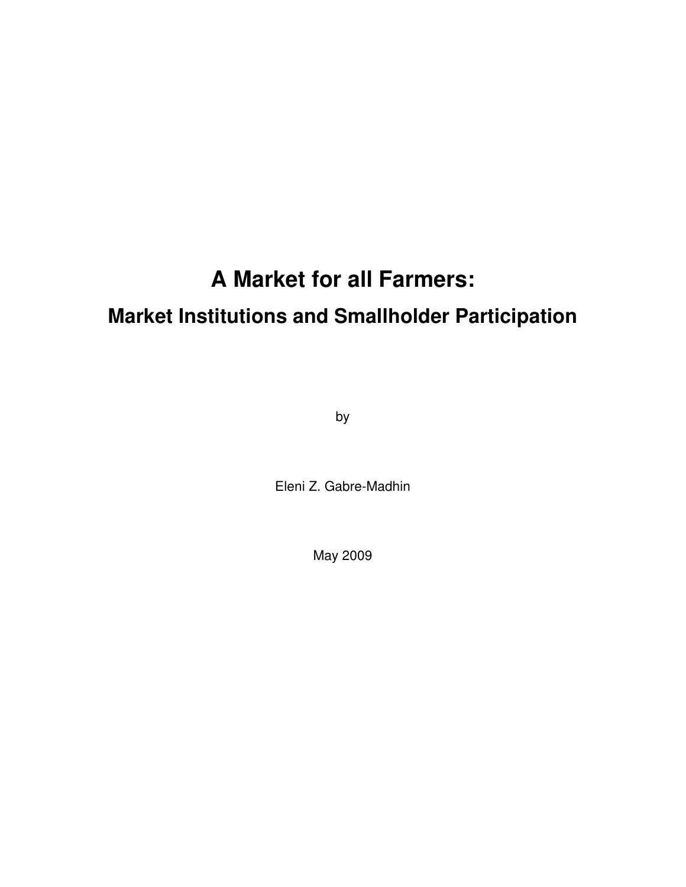# **A Market for all Farmers:**

# **Market Institutions and Smallholder Participation**

by

Eleni Z. Gabre-Madhin

May 2009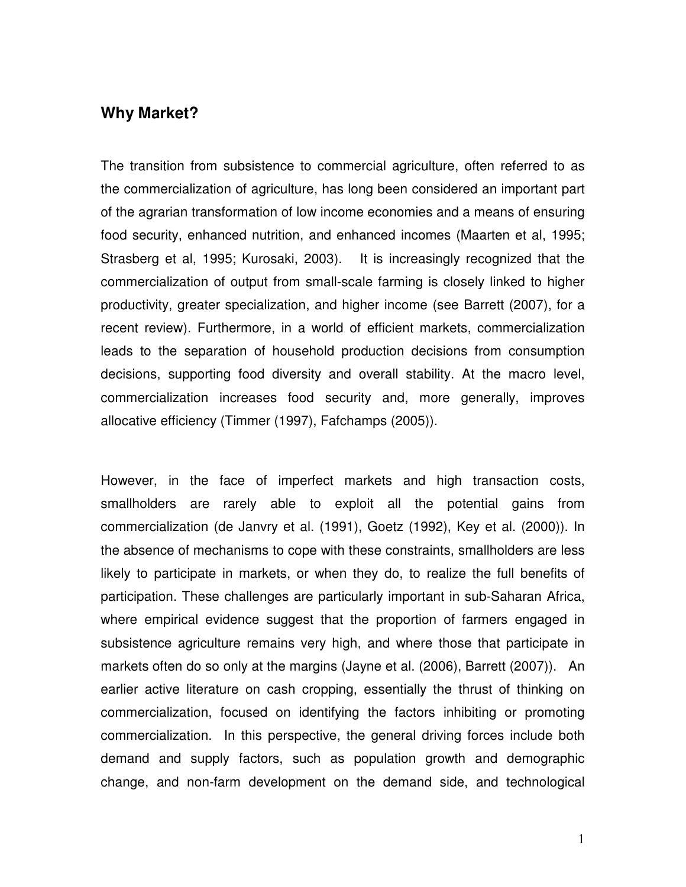### **Why Market?**

The transition from subsistence to commercial agriculture, often referred to as the commercialization of agriculture, has long been considered an important part of the agrarian transformation of low income economies and a means of ensuring food security, enhanced nutrition, and enhanced incomes (Maarten et al, 1995; Strasberg et al, 1995; Kurosaki, 2003). It is increasingly recognized that the commercialization of output from small-scale farming is closely linked to higher productivity, greater specialization, and higher income (see Barrett (2007), for a recent review). Furthermore, in a world of efficient markets, commercialization leads to the separation of household production decisions from consumption decisions, supporting food diversity and overall stability. At the macro level, commercialization increases food security and, more generally, improves allocative efficiency (Timmer (1997), Fafchamps (2005)).

However, in the face of imperfect markets and high transaction costs, smallholders are rarely able to exploit all the potential gains from commercialization (de Janvry et al. (1991), Goetz (1992), Key et al. (2000)). In the absence of mechanisms to cope with these constraints, smallholders are less likely to participate in markets, or when they do, to realize the full benefits of participation. These challenges are particularly important in sub-Saharan Africa, where empirical evidence suggest that the proportion of farmers engaged in subsistence agriculture remains very high, and where those that participate in markets often do so only at the margins (Jayne et al. (2006), Barrett (2007)). An earlier active literature on cash cropping, essentially the thrust of thinking on commercialization, focused on identifying the factors inhibiting or promoting commercialization. In this perspective, the general driving forces include both demand and supply factors, such as population growth and demographic change, and non-farm development on the demand side, and technological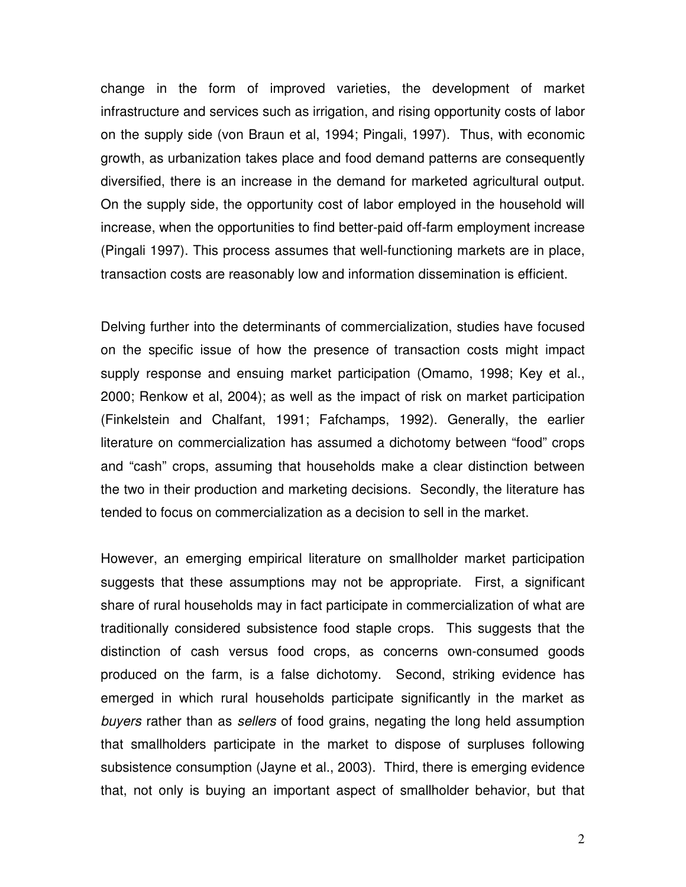change in the form of improved varieties, the development of market infrastructure and services such as irrigation, and rising opportunity costs of labor on the supply side (von Braun et al, 1994; Pingali, 1997). Thus, with economic growth, as urbanization takes place and food demand patterns are consequently diversified, there is an increase in the demand for marketed agricultural output. On the supply side, the opportunity cost of labor employed in the household will increase, when the opportunities to find better-paid off-farm employment increase (Pingali 1997). This process assumes that well-functioning markets are in place, transaction costs are reasonably low and information dissemination is efficient.

Delving further into the determinants of commercialization, studies have focused on the specific issue of how the presence of transaction costs might impact supply response and ensuing market participation (Omamo, 1998; Key et al., 2000; Renkow et al, 2004); as well as the impact of risk on market participation (Finkelstein and Chalfant, 1991; Fafchamps, 1992). Generally, the earlier literature on commercialization has assumed a dichotomy between "food" crops and "cash" crops, assuming that households make a clear distinction between the two in their production and marketing decisions. Secondly, the literature has tended to focus on commercialization as a decision to sell in the market.

However, an emerging empirical literature on smallholder market participation suggests that these assumptions may not be appropriate. First, a significant share of rural households may in fact participate in commercialization of what are traditionally considered subsistence food staple crops. This suggests that the distinction of cash versus food crops, as concerns own-consumed goods produced on the farm, is a false dichotomy. Second, striking evidence has emerged in which rural households participate significantly in the market as buyers rather than as sellers of food grains, negating the long held assumption that smallholders participate in the market to dispose of surpluses following subsistence consumption (Jayne et al., 2003). Third, there is emerging evidence that, not only is buying an important aspect of smallholder behavior, but that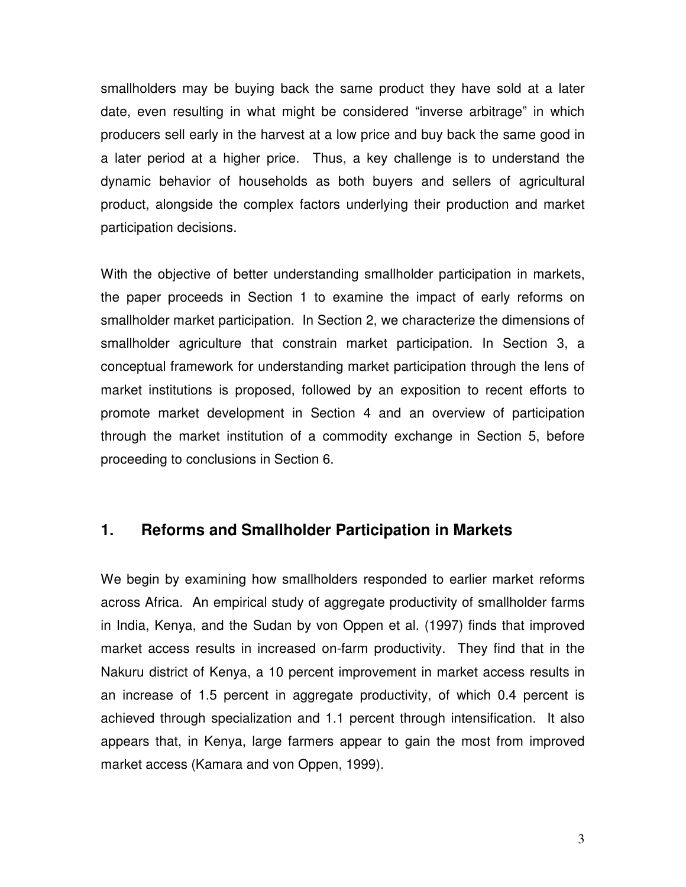smallholders may be buying back the same product they have sold at a later date, even resulting in what might be considered "inverse arbitrage" in which producers sell early in the harvest at a low price and buy back the same good in a later period at a higher price. Thus, a key challenge is to understand the dynamic behavior of households as both buyers and sellers of agricultural product, alongside the complex factors underlying their production and market participation decisions.

With the objective of better understanding smallholder participation in markets, the paper proceeds in Section 1 to examine the impact of early reforms on smallholder market participation. In Section 2, we characterize the dimensions of smallholder agriculture that constrain market participation. In Section 3, a conceptual framework for understanding market participation through the lens of market institutions is proposed, followed by an exposition to recent efforts to promote market development in Section 4 and an overview of participation through the market institution of a commodity exchange in Section 5, before proceeding to conclusions in Section 6.

#### **1. Reforms and Smallholder Participation in Markets**

We begin by examining how smallholders responded to earlier market reforms across Africa. An empirical study of aggregate productivity of smallholder farms in India, Kenya, and the Sudan by von Oppen et al. (1997) finds that improved market access results in increased on-farm productivity. They find that in the Nakuru district of Kenya, a 10 percent improvement in market access results in an increase of 1.5 percent in aggregate productivity, of which 0.4 percent is achieved through specialization and 1.1 percent through intensification. It also appears that, in Kenya, large farmers appear to gain the most from improved market access (Kamara and von Oppen, 1999).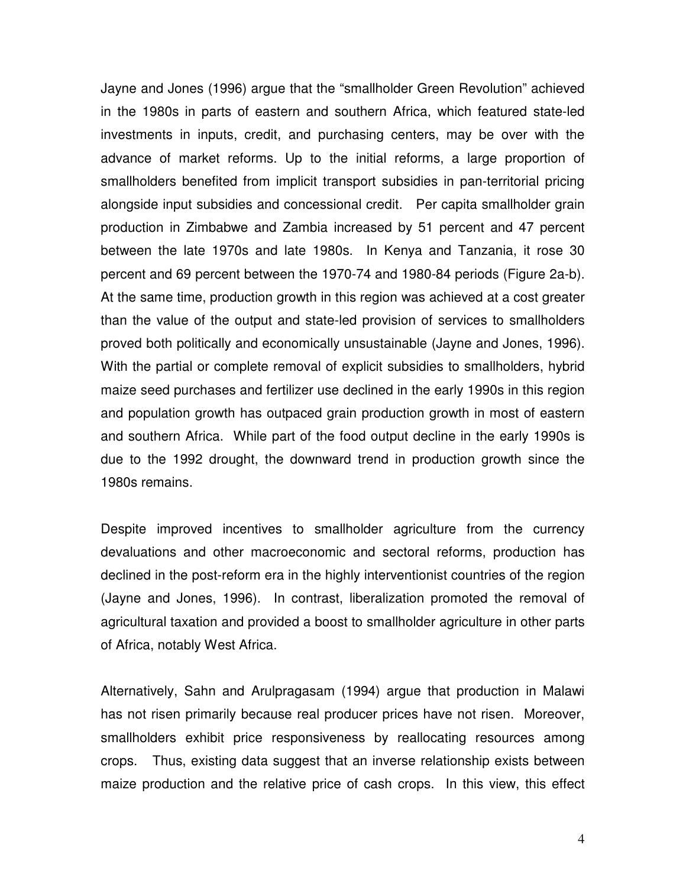Jayne and Jones (1996) argue that the "smallholder Green Revolution" achieved in the 1980s in parts of eastern and southern Africa, which featured state-led investments in inputs, credit, and purchasing centers, may be over with the advance of market reforms. Up to the initial reforms, a large proportion of smallholders benefited from implicit transport subsidies in pan-territorial pricing alongside input subsidies and concessional credit. Per capita smallholder grain production in Zimbabwe and Zambia increased by 51 percent and 47 percent between the late 1970s and late 1980s. In Kenya and Tanzania, it rose 30 percent and 69 percent between the 1970-74 and 1980-84 periods (Figure 2a-b). At the same time, production growth in this region was achieved at a cost greater than the value of the output and state-led provision of services to smallholders proved both politically and economically unsustainable (Jayne and Jones, 1996). With the partial or complete removal of explicit subsidies to smallholders, hybrid maize seed purchases and fertilizer use declined in the early 1990s in this region and population growth has outpaced grain production growth in most of eastern and southern Africa. While part of the food output decline in the early 1990s is due to the 1992 drought, the downward trend in production growth since the 1980s remains.

Despite improved incentives to smallholder agriculture from the currency devaluations and other macroeconomic and sectoral reforms, production has declined in the post-reform era in the highly interventionist countries of the region (Jayne and Jones, 1996). In contrast, liberalization promoted the removal of agricultural taxation and provided a boost to smallholder agriculture in other parts of Africa, notably West Africa.

Alternatively, Sahn and Arulpragasam (1994) argue that production in Malawi has not risen primarily because real producer prices have not risen. Moreover, smallholders exhibit price responsiveness by reallocating resources among crops. Thus, existing data suggest that an inverse relationship exists between maize production and the relative price of cash crops. In this view, this effect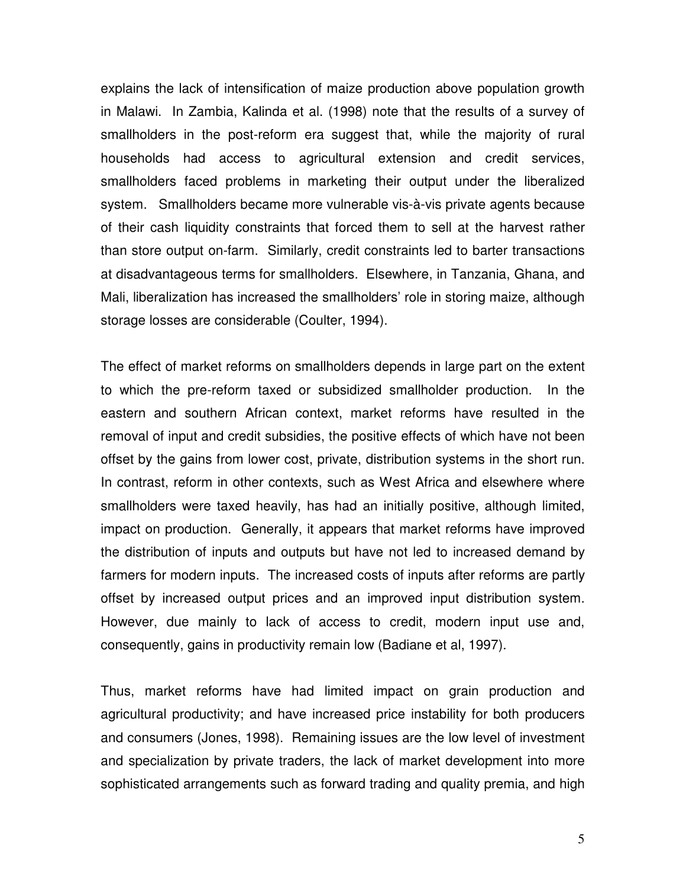explains the lack of intensification of maize production above population growth in Malawi. In Zambia, Kalinda et al. (1998) note that the results of a survey of smallholders in the post-reform era suggest that, while the majority of rural households had access to agricultural extension and credit services, smallholders faced problems in marketing their output under the liberalized system. Smallholders became more vulnerable vis-à-vis private agents because of their cash liquidity constraints that forced them to sell at the harvest rather than store output on-farm. Similarly, credit constraints led to barter transactions at disadvantageous terms for smallholders. Elsewhere, in Tanzania, Ghana, and Mali, liberalization has increased the smallholders' role in storing maize, although storage losses are considerable (Coulter, 1994).

The effect of market reforms on smallholders depends in large part on the extent to which the pre-reform taxed or subsidized smallholder production. In the eastern and southern African context, market reforms have resulted in the removal of input and credit subsidies, the positive effects of which have not been offset by the gains from lower cost, private, distribution systems in the short run. In contrast, reform in other contexts, such as West Africa and elsewhere where smallholders were taxed heavily, has had an initially positive, although limited, impact on production. Generally, it appears that market reforms have improved the distribution of inputs and outputs but have not led to increased demand by farmers for modern inputs. The increased costs of inputs after reforms are partly offset by increased output prices and an improved input distribution system. However, due mainly to lack of access to credit, modern input use and, consequently, gains in productivity remain low (Badiane et al, 1997).

Thus, market reforms have had limited impact on grain production and agricultural productivity; and have increased price instability for both producers and consumers (Jones, 1998). Remaining issues are the low level of investment and specialization by private traders, the lack of market development into more sophisticated arrangements such as forward trading and quality premia, and high

5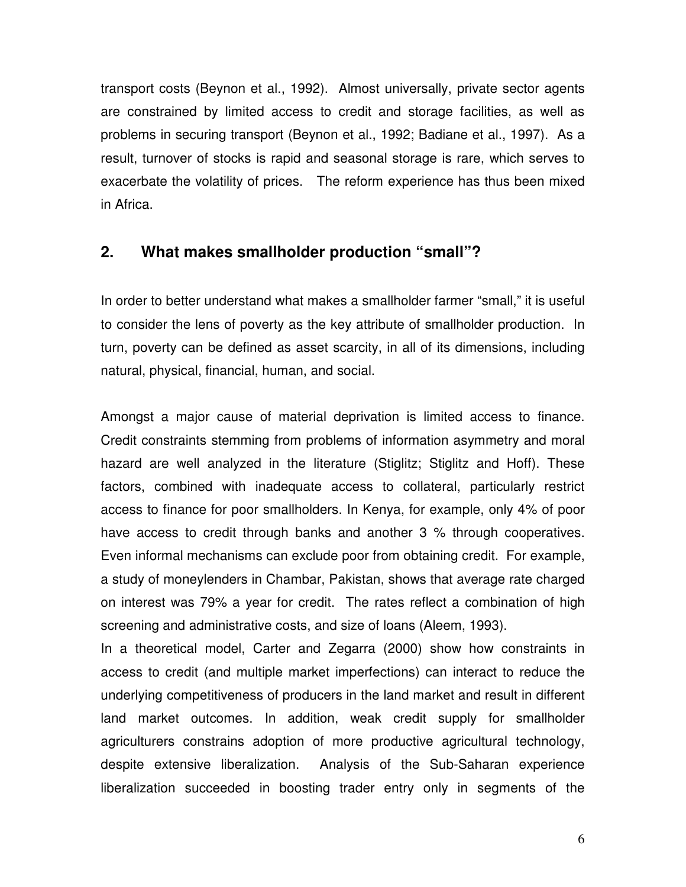transport costs (Beynon et al., 1992). Almost universally, private sector agents are constrained by limited access to credit and storage facilities, as well as problems in securing transport (Beynon et al., 1992; Badiane et al., 1997). As a result, turnover of stocks is rapid and seasonal storage is rare, which serves to exacerbate the volatility of prices. The reform experience has thus been mixed in Africa.

#### **2. What makes smallholder production "small"?**

In order to better understand what makes a smallholder farmer "small," it is useful to consider the lens of poverty as the key attribute of smallholder production. In turn, poverty can be defined as asset scarcity, in all of its dimensions, including natural, physical, financial, human, and social.

Amongst a major cause of material deprivation is limited access to finance. Credit constraints stemming from problems of information asymmetry and moral hazard are well analyzed in the literature (Stiglitz; Stiglitz and Hoff). These factors, combined with inadequate access to collateral, particularly restrict access to finance for poor smallholders. In Kenya, for example, only 4% of poor have access to credit through banks and another 3 % through cooperatives. Even informal mechanisms can exclude poor from obtaining credit. For example, a study of moneylenders in Chambar, Pakistan, shows that average rate charged on interest was 79% a year for credit. The rates reflect a combination of high screening and administrative costs, and size of loans (Aleem, 1993).

In a theoretical model, Carter and Zegarra (2000) show how constraints in access to credit (and multiple market imperfections) can interact to reduce the underlying competitiveness of producers in the land market and result in different land market outcomes. In addition, weak credit supply for smallholder agriculturers constrains adoption of more productive agricultural technology, despite extensive liberalization. Analysis of the Sub-Saharan experience liberalization succeeded in boosting trader entry only in segments of the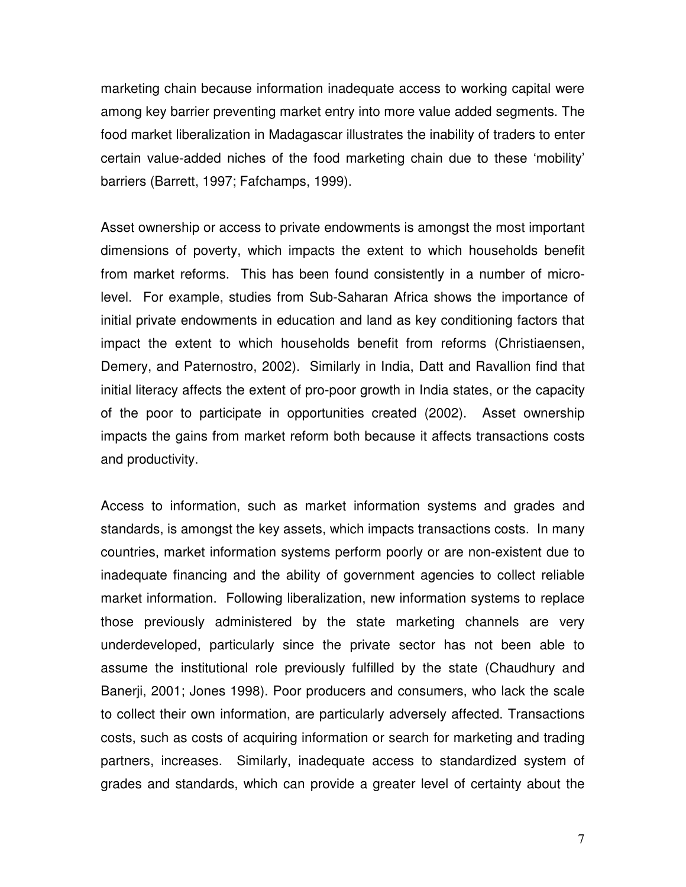marketing chain because information inadequate access to working capital were among key barrier preventing market entry into more value added segments. The food market liberalization in Madagascar illustrates the inability of traders to enter certain value-added niches of the food marketing chain due to these 'mobility' barriers (Barrett, 1997; Fafchamps, 1999).

Asset ownership or access to private endowments is amongst the most important dimensions of poverty, which impacts the extent to which households benefit from market reforms. This has been found consistently in a number of microlevel. For example, studies from Sub-Saharan Africa shows the importance of initial private endowments in education and land as key conditioning factors that impact the extent to which households benefit from reforms (Christiaensen, Demery, and Paternostro, 2002). Similarly in India, Datt and Ravallion find that initial literacy affects the extent of pro-poor growth in India states, or the capacity of the poor to participate in opportunities created (2002). Asset ownership impacts the gains from market reform both because it affects transactions costs and productivity.

Access to information, such as market information systems and grades and standards, is amongst the key assets, which impacts transactions costs. In many countries, market information systems perform poorly or are non-existent due to inadequate financing and the ability of government agencies to collect reliable market information. Following liberalization, new information systems to replace those previously administered by the state marketing channels are very underdeveloped, particularly since the private sector has not been able to assume the institutional role previously fulfilled by the state (Chaudhury and Banerji, 2001; Jones 1998). Poor producers and consumers, who lack the scale to collect their own information, are particularly adversely affected. Transactions costs, such as costs of acquiring information or search for marketing and trading partners, increases. Similarly, inadequate access to standardized system of grades and standards, which can provide a greater level of certainty about the

7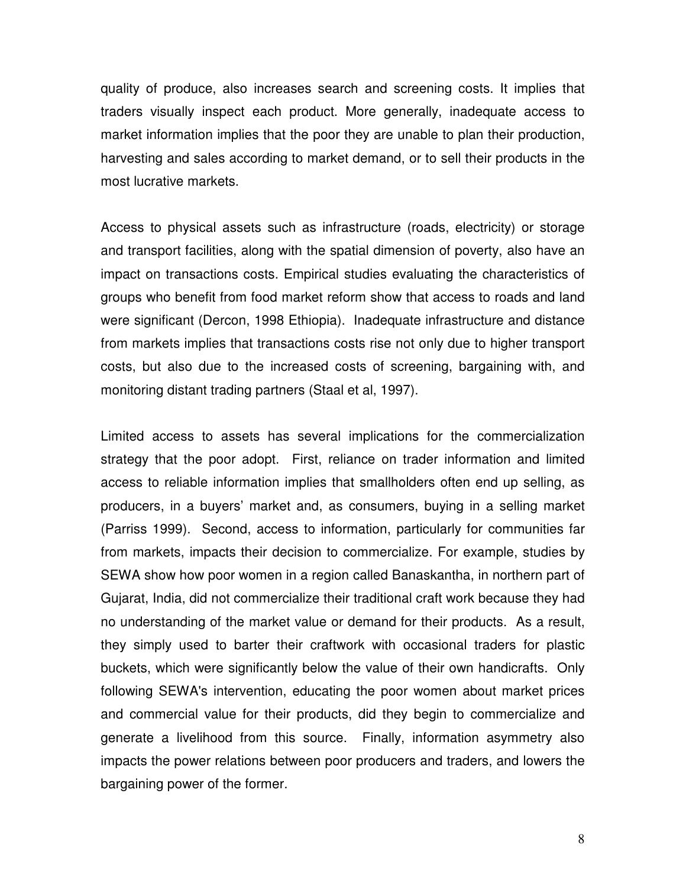quality of produce, also increases search and screening costs. It implies that traders visually inspect each product. More generally, inadequate access to market information implies that the poor they are unable to plan their production, harvesting and sales according to market demand, or to sell their products in the most lucrative markets.

Access to physical assets such as infrastructure (roads, electricity) or storage and transport facilities, along with the spatial dimension of poverty, also have an impact on transactions costs. Empirical studies evaluating the characteristics of groups who benefit from food market reform show that access to roads and land were significant (Dercon, 1998 Ethiopia). Inadequate infrastructure and distance from markets implies that transactions costs rise not only due to higher transport costs, but also due to the increased costs of screening, bargaining with, and monitoring distant trading partners (Staal et al, 1997).

Limited access to assets has several implications for the commercialization strategy that the poor adopt. First, reliance on trader information and limited access to reliable information implies that smallholders often end up selling, as producers, in a buyers' market and, as consumers, buying in a selling market (Parriss 1999). Second, access to information, particularly for communities far from markets, impacts their decision to commercialize. For example, studies by SEWA show how poor women in a region called Banaskantha, in northern part of Gujarat, India, did not commercialize their traditional craft work because they had no understanding of the market value or demand for their products. As a result, they simply used to barter their craftwork with occasional traders for plastic buckets, which were significantly below the value of their own handicrafts. Only following SEWA's intervention, educating the poor women about market prices and commercial value for their products, did they begin to commercialize and generate a livelihood from this source. Finally, information asymmetry also impacts the power relations between poor producers and traders, and lowers the bargaining power of the former.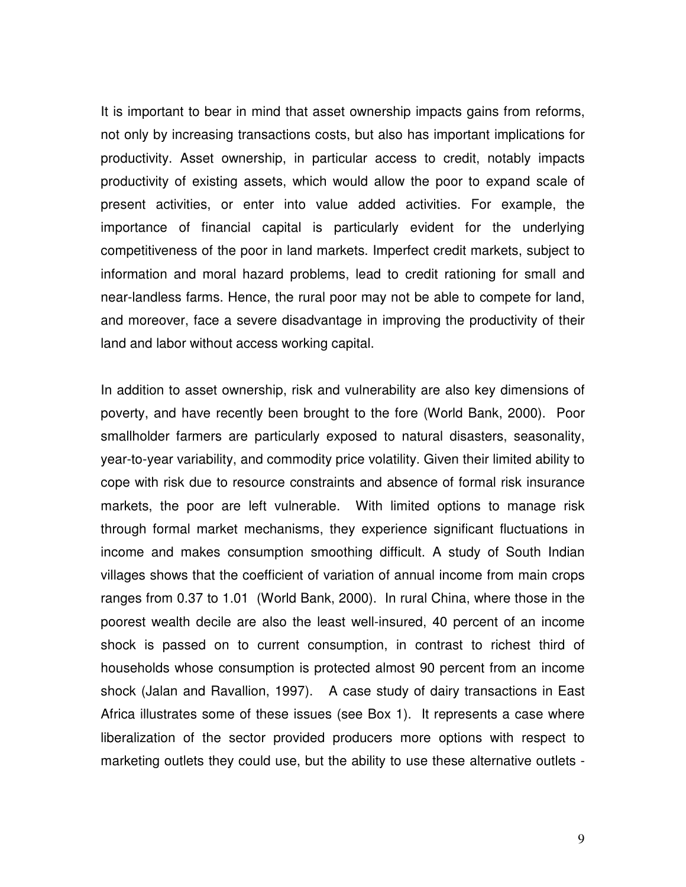It is important to bear in mind that asset ownership impacts gains from reforms, not only by increasing transactions costs, but also has important implications for productivity. Asset ownership, in particular access to credit, notably impacts productivity of existing assets, which would allow the poor to expand scale of present activities, or enter into value added activities. For example, the importance of financial capital is particularly evident for the underlying competitiveness of the poor in land markets. Imperfect credit markets, subject to information and moral hazard problems, lead to credit rationing for small and near-landless farms. Hence, the rural poor may not be able to compete for land, and moreover, face a severe disadvantage in improving the productivity of their land and labor without access working capital.

In addition to asset ownership, risk and vulnerability are also key dimensions of poverty, and have recently been brought to the fore (World Bank, 2000). Poor smallholder farmers are particularly exposed to natural disasters, seasonality, year-to-year variability, and commodity price volatility. Given their limited ability to cope with risk due to resource constraints and absence of formal risk insurance markets, the poor are left vulnerable. With limited options to manage risk through formal market mechanisms, they experience significant fluctuations in income and makes consumption smoothing difficult. A study of South Indian villages shows that the coefficient of variation of annual income from main crops ranges from 0.37 to 1.01 (World Bank, 2000). In rural China, where those in the poorest wealth decile are also the least well-insured, 40 percent of an income shock is passed on to current consumption, in contrast to richest third of households whose consumption is protected almost 90 percent from an income shock (Jalan and Ravallion, 1997). A case study of dairy transactions in East Africa illustrates some of these issues (see Box 1). It represents a case where liberalization of the sector provided producers more options with respect to marketing outlets they could use, but the ability to use these alternative outlets -

9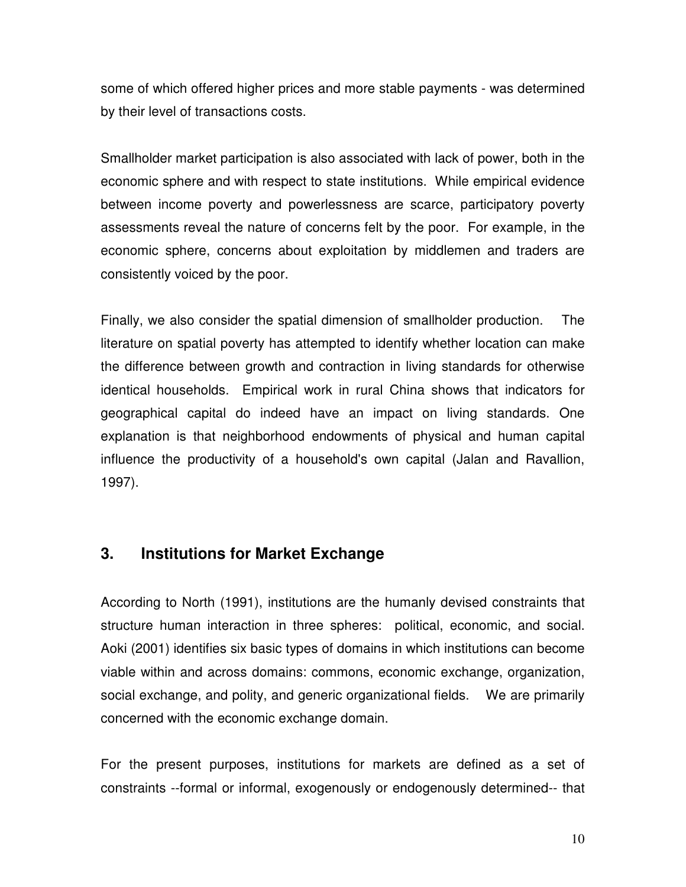some of which offered higher prices and more stable payments - was determined by their level of transactions costs.

Smallholder market participation is also associated with lack of power, both in the economic sphere and with respect to state institutions. While empirical evidence between income poverty and powerlessness are scarce, participatory poverty assessments reveal the nature of concerns felt by the poor. For example, in the economic sphere, concerns about exploitation by middlemen and traders are consistently voiced by the poor.

Finally, we also consider the spatial dimension of smallholder production. The literature on spatial poverty has attempted to identify whether location can make the difference between growth and contraction in living standards for otherwise identical households. Empirical work in rural China shows that indicators for geographical capital do indeed have an impact on living standards. One explanation is that neighborhood endowments of physical and human capital influence the productivity of a household's own capital (Jalan and Ravallion, 1997).

## **3. Institutions for Market Exchange**

According to North (1991), institutions are the humanly devised constraints that structure human interaction in three spheres: political, economic, and social. Aoki (2001) identifies six basic types of domains in which institutions can become viable within and across domains: commons, economic exchange, organization, social exchange, and polity, and generic organizational fields. We are primarily concerned with the economic exchange domain.

For the present purposes, institutions for markets are defined as a set of constraints --formal or informal, exogenously or endogenously determined-- that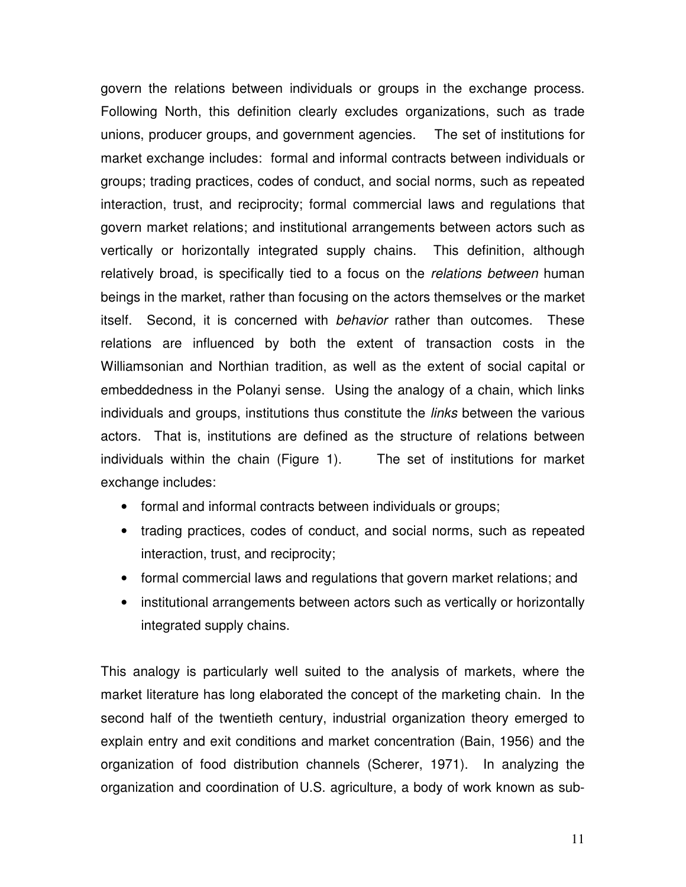govern the relations between individuals or groups in the exchange process. Following North, this definition clearly excludes organizations, such as trade unions, producer groups, and government agencies. The set of institutions for market exchange includes: formal and informal contracts between individuals or groups; trading practices, codes of conduct, and social norms, such as repeated interaction, trust, and reciprocity; formal commercial laws and regulations that govern market relations; and institutional arrangements between actors such as vertically or horizontally integrated supply chains. This definition, although relatively broad, is specifically tied to a focus on the relations between human beings in the market, rather than focusing on the actors themselves or the market itself. Second, it is concerned with behavior rather than outcomes. These relations are influenced by both the extent of transaction costs in the Williamsonian and Northian tradition, as well as the extent of social capital or embeddedness in the Polanyi sense. Using the analogy of a chain, which links individuals and groups, institutions thus constitute the *links* between the various actors. That is, institutions are defined as the structure of relations between individuals within the chain (Figure 1). The set of institutions for market exchange includes:

- formal and informal contracts between individuals or groups;
- trading practices, codes of conduct, and social norms, such as repeated interaction, trust, and reciprocity;
- formal commercial laws and regulations that govern market relations; and
- institutional arrangements between actors such as vertically or horizontally integrated supply chains.

This analogy is particularly well suited to the analysis of markets, where the market literature has long elaborated the concept of the marketing chain. In the second half of the twentieth century, industrial organization theory emerged to explain entry and exit conditions and market concentration (Bain, 1956) and the organization of food distribution channels (Scherer, 1971). In analyzing the organization and coordination of U.S. agriculture, a body of work known as sub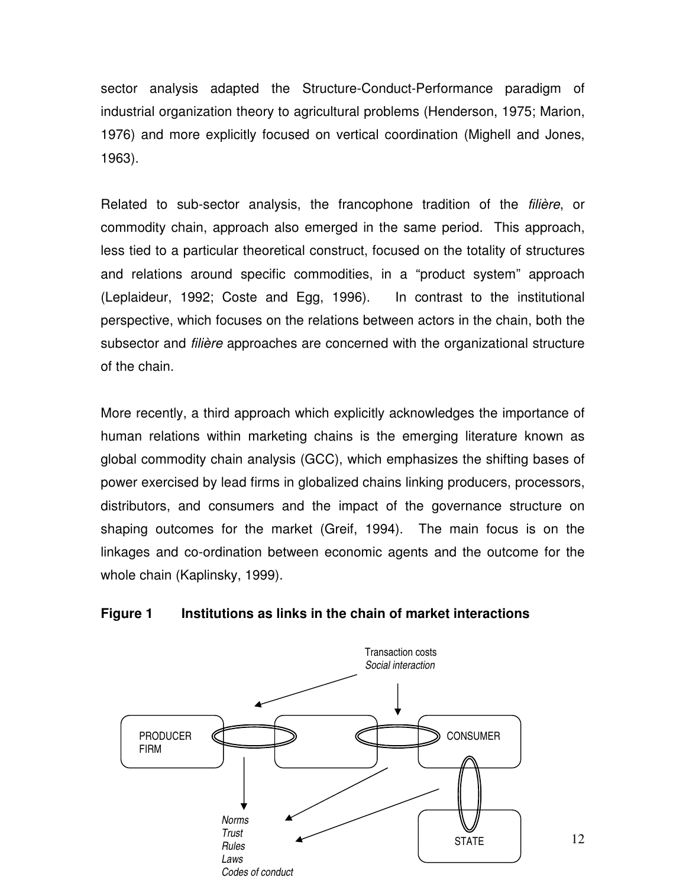sector analysis adapted the Structure-Conduct-Performance paradigm of industrial organization theory to agricultural problems (Henderson, 1975; Marion, 1976) and more explicitly focused on vertical coordination (Mighell and Jones, 1963).

Related to sub-sector analysis, the francophone tradition of the filière, or commodity chain, approach also emerged in the same period. This approach, less tied to a particular theoretical construct, focused on the totality of structures and relations around specific commodities, in a "product system" approach (Leplaideur, 1992; Coste and Egg, 1996). In contrast to the institutional perspective, which focuses on the relations between actors in the chain, both the subsector and *filière* approaches are concerned with the organizational structure of the chain.

More recently, a third approach which explicitly acknowledges the importance of human relations within marketing chains is the emerging literature known as global commodity chain analysis (GCC), which emphasizes the shifting bases of power exercised by lead firms in globalized chains linking producers, processors, distributors, and consumers and the impact of the governance structure on shaping outcomes for the market (Greif, 1994). The main focus is on the linkages and co-ordination between economic agents and the outcome for the whole chain (Kaplinsky, 1999).

#### **Figure 1 Institutions as links in the chain of market interactions**



12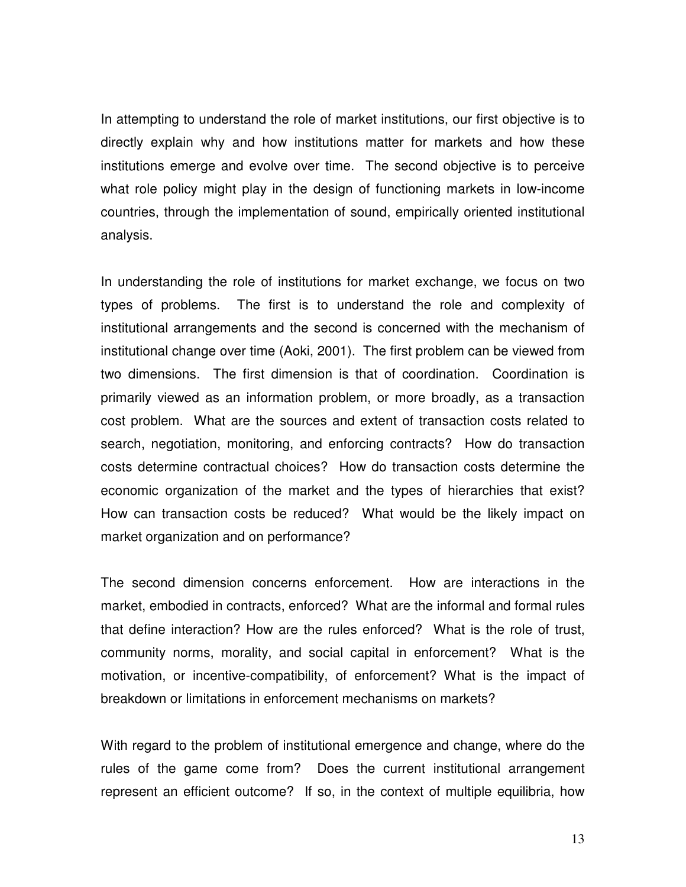In attempting to understand the role of market institutions, our first objective is to directly explain why and how institutions matter for markets and how these institutions emerge and evolve over time. The second objective is to perceive what role policy might play in the design of functioning markets in low-income countries, through the implementation of sound, empirically oriented institutional analysis.

In understanding the role of institutions for market exchange, we focus on two types of problems. The first is to understand the role and complexity of institutional arrangements and the second is concerned with the mechanism of institutional change over time (Aoki, 2001). The first problem can be viewed from two dimensions. The first dimension is that of coordination. Coordination is primarily viewed as an information problem, or more broadly, as a transaction cost problem. What are the sources and extent of transaction costs related to search, negotiation, monitoring, and enforcing contracts? How do transaction costs determine contractual choices? How do transaction costs determine the economic organization of the market and the types of hierarchies that exist? How can transaction costs be reduced? What would be the likely impact on market organization and on performance?

The second dimension concerns enforcement. How are interactions in the market, embodied in contracts, enforced? What are the informal and formal rules that define interaction? How are the rules enforced? What is the role of trust, community norms, morality, and social capital in enforcement? What is the motivation, or incentive-compatibility, of enforcement? What is the impact of breakdown or limitations in enforcement mechanisms on markets?

With regard to the problem of institutional emergence and change, where do the rules of the game come from? Does the current institutional arrangement represent an efficient outcome? If so, in the context of multiple equilibria, how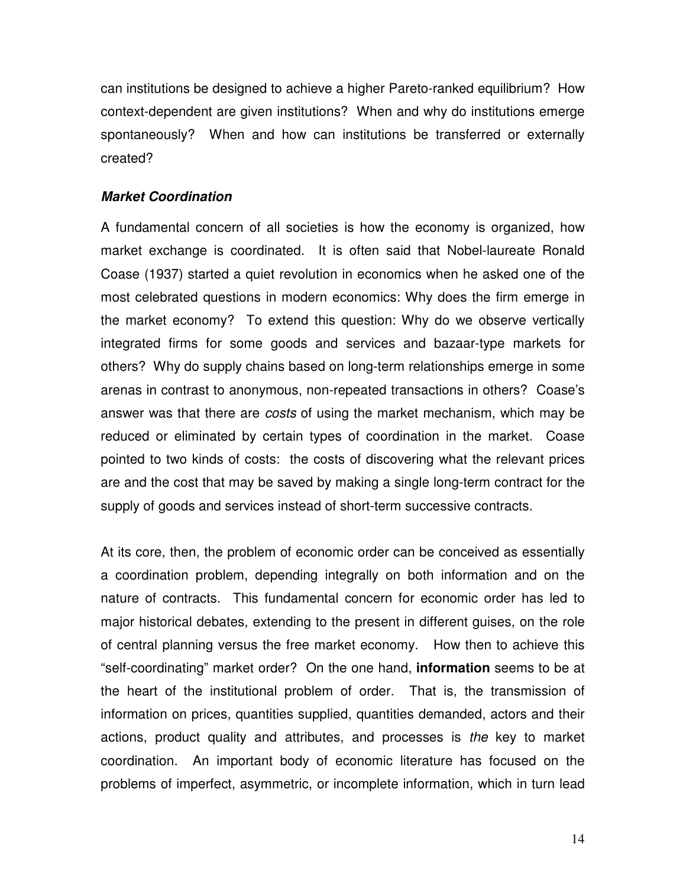can institutions be designed to achieve a higher Pareto-ranked equilibrium? How context-dependent are given institutions? When and why do institutions emerge spontaneously? When and how can institutions be transferred or externally created?

#### **Market Coordination**

A fundamental concern of all societies is how the economy is organized, how market exchange is coordinated. It is often said that Nobel-laureate Ronald Coase (1937) started a quiet revolution in economics when he asked one of the most celebrated questions in modern economics: Why does the firm emerge in the market economy? To extend this question: Why do we observe vertically integrated firms for some goods and services and bazaar-type markets for others? Why do supply chains based on long-term relationships emerge in some arenas in contrast to anonymous, non-repeated transactions in others? Coase's answer was that there are *costs* of using the market mechanism, which may be reduced or eliminated by certain types of coordination in the market. Coase pointed to two kinds of costs: the costs of discovering what the relevant prices are and the cost that may be saved by making a single long-term contract for the supply of goods and services instead of short-term successive contracts.

At its core, then, the problem of economic order can be conceived as essentially a coordination problem, depending integrally on both information and on the nature of contracts. This fundamental concern for economic order has led to major historical debates, extending to the present in different guises, on the role of central planning versus the free market economy. How then to achieve this "self-coordinating" market order? On the one hand, **information** seems to be at the heart of the institutional problem of order. That is, the transmission of information on prices, quantities supplied, quantities demanded, actors and their actions, product quality and attributes, and processes is the key to market coordination. An important body of economic literature has focused on the problems of imperfect, asymmetric, or incomplete information, which in turn lead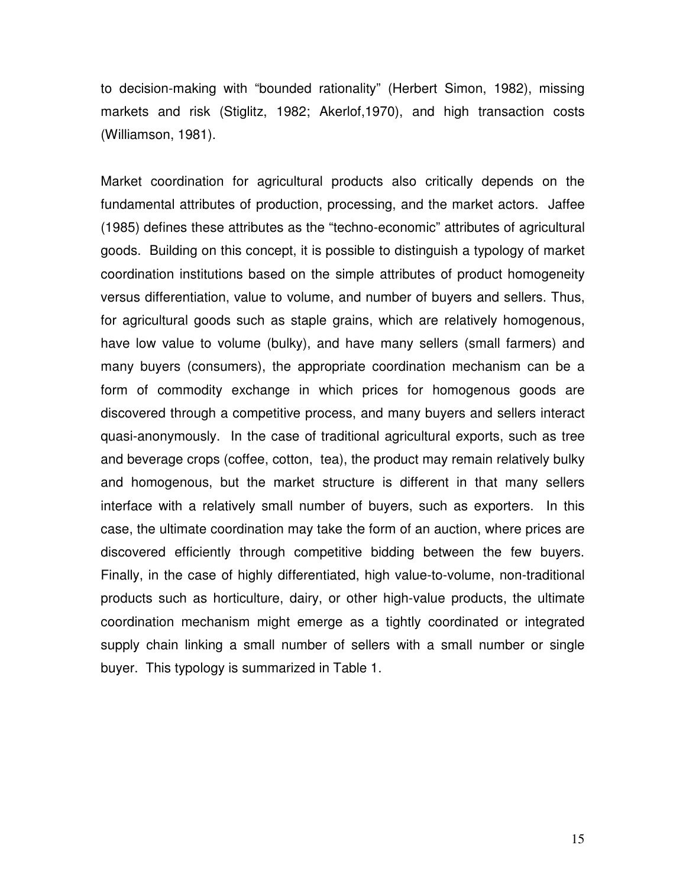to decision-making with "bounded rationality" (Herbert Simon, 1982), missing markets and risk (Stiglitz, 1982; Akerlof,1970), and high transaction costs (Williamson, 1981).

Market coordination for agricultural products also critically depends on the fundamental attributes of production, processing, and the market actors. Jaffee (1985) defines these attributes as the "techno-economic" attributes of agricultural goods. Building on this concept, it is possible to distinguish a typology of market coordination institutions based on the simple attributes of product homogeneity versus differentiation, value to volume, and number of buyers and sellers. Thus, for agricultural goods such as staple grains, which are relatively homogenous, have low value to volume (bulky), and have many sellers (small farmers) and many buyers (consumers), the appropriate coordination mechanism can be a form of commodity exchange in which prices for homogenous goods are discovered through a competitive process, and many buyers and sellers interact quasi-anonymously. In the case of traditional agricultural exports, such as tree and beverage crops (coffee, cotton, tea), the product may remain relatively bulky and homogenous, but the market structure is different in that many sellers interface with a relatively small number of buyers, such as exporters. In this case, the ultimate coordination may take the form of an auction, where prices are discovered efficiently through competitive bidding between the few buyers. Finally, in the case of highly differentiated, high value-to-volume, non-traditional products such as horticulture, dairy, or other high-value products, the ultimate coordination mechanism might emerge as a tightly coordinated or integrated supply chain linking a small number of sellers with a small number or single buyer. This typology is summarized in Table 1.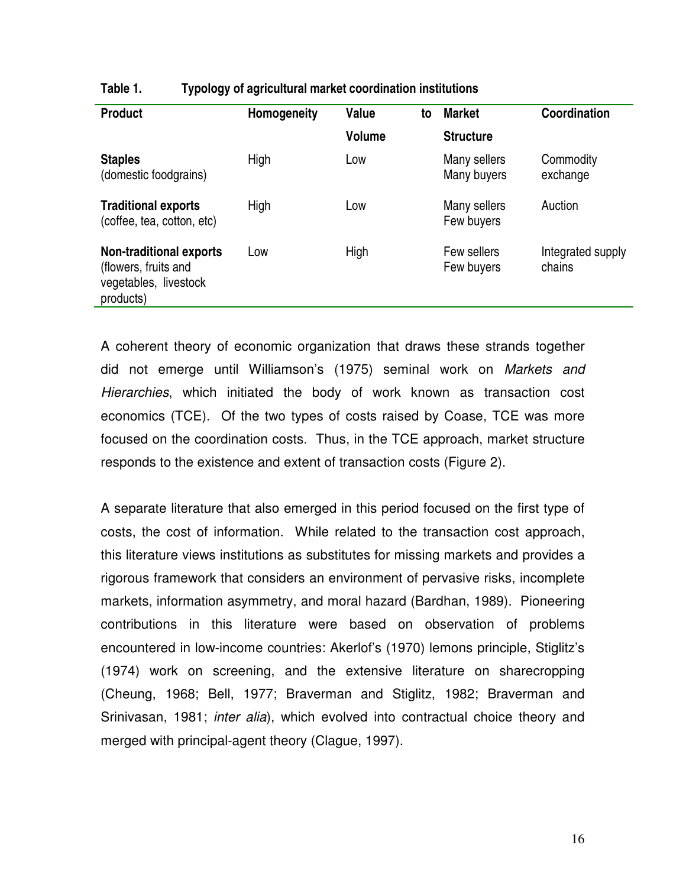| <b>Product</b>                                                                               | Homogeneity | Value<br><b>Volume</b> | to | <b>Market</b><br><b>Structure</b> | Coordination                |
|----------------------------------------------------------------------------------------------|-------------|------------------------|----|-----------------------------------|-----------------------------|
| <b>Staples</b><br>(domestic foodgrains)                                                      | High        | Low                    |    | Many sellers<br>Many buyers       | Commodity<br>exchange       |
| <b>Traditional exports</b><br>(coffee, tea, cotton, etc)                                     | High        | Low                    |    | Many sellers<br>Few buyers        | Auction                     |
| <b>Non-traditional exports</b><br>(flowers, fruits and<br>vegetables, livestock<br>products) | Low         | High                   |    | Few sellers<br>Few buyers         | Integrated supply<br>chains |

#### **Table 1. Typology of agricultural market coordination institutions**

A coherent theory of economic organization that draws these strands together did not emerge until Williamson's (1975) seminal work on Markets and Hierarchies, which initiated the body of work known as transaction cost economics (TCE). Of the two types of costs raised by Coase, TCE was more focused on the coordination costs. Thus, in the TCE approach, market structure responds to the existence and extent of transaction costs (Figure 2).

A separate literature that also emerged in this period focused on the first type of costs, the cost of information. While related to the transaction cost approach, this literature views institutions as substitutes for missing markets and provides a rigorous framework that considers an environment of pervasive risks, incomplete markets, information asymmetry, and moral hazard (Bardhan, 1989). Pioneering contributions in this literature were based on observation of problems encountered in low-income countries: Akerlof's (1970) lemons principle, Stiglitz's (1974) work on screening, and the extensive literature on sharecropping (Cheung, 1968; Bell, 1977; Braverman and Stiglitz, 1982; Braverman and Srinivasan, 1981; *inter alia*), which evolved into contractual choice theory and merged with principal-agent theory (Clague, 1997).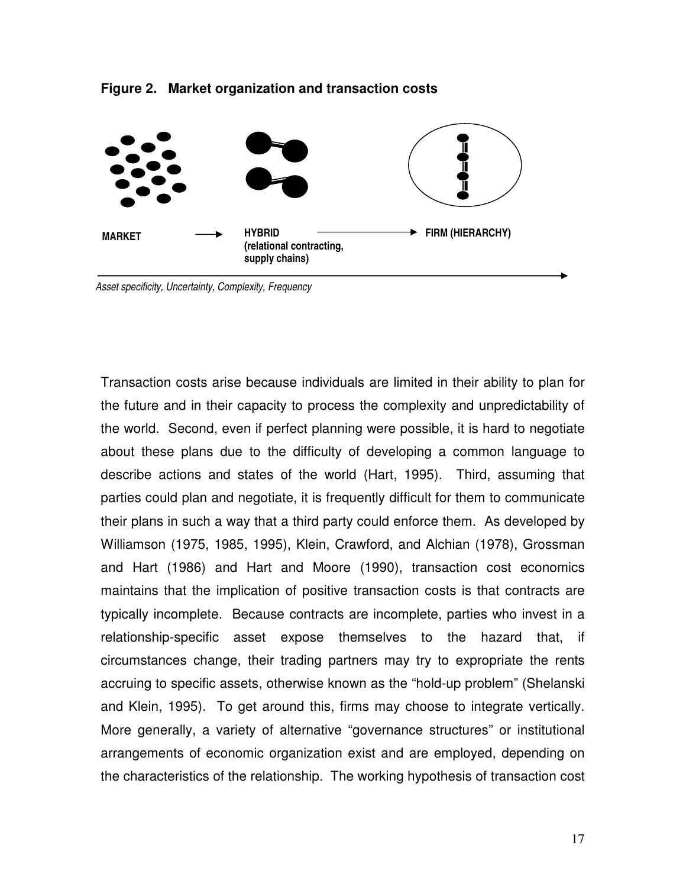



Transaction costs arise because individuals are limited in their ability to plan for the future and in their capacity to process the complexity and unpredictability of the world. Second, even if perfect planning were possible, it is hard to negotiate about these plans due to the difficulty of developing a common language to describe actions and states of the world (Hart, 1995). Third, assuming that parties could plan and negotiate, it is frequently difficult for them to communicate their plans in such a way that a third party could enforce them. As developed by Williamson (1975, 1985, 1995), Klein, Crawford, and Alchian (1978), Grossman and Hart (1986) and Hart and Moore (1990), transaction cost economics maintains that the implication of positive transaction costs is that contracts are typically incomplete. Because contracts are incomplete, parties who invest in a relationship-specific asset expose themselves to the hazard that, if circumstances change, their trading partners may try to expropriate the rents accruing to specific assets, otherwise known as the "hold-up problem" (Shelanski and Klein, 1995). To get around this, firms may choose to integrate vertically. More generally, a variety of alternative "governance structures" or institutional arrangements of economic organization exist and are employed, depending on the characteristics of the relationship. The working hypothesis of transaction cost

 Asset specificity, Uncertainty, Complexity, Frequency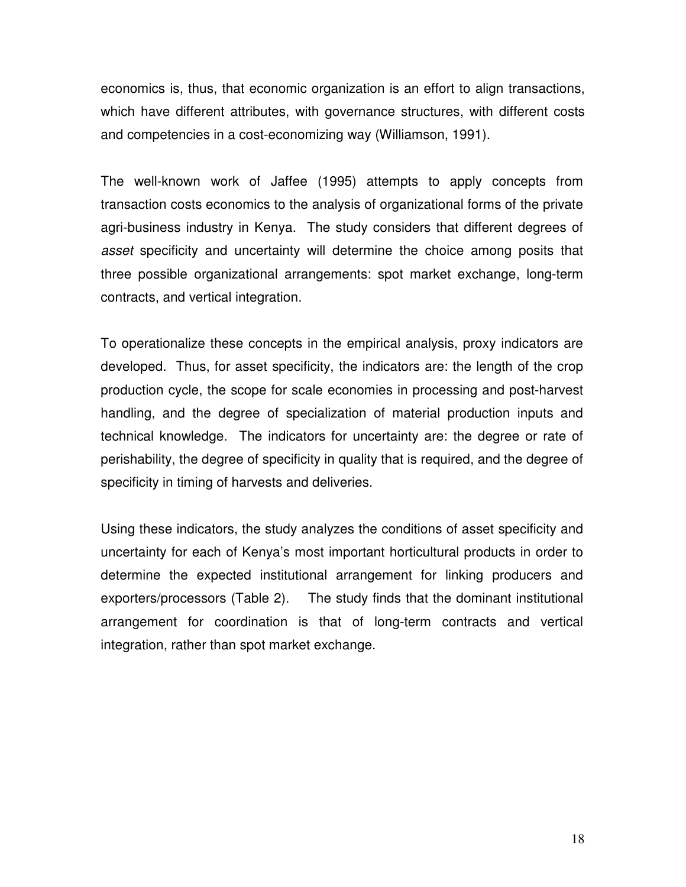economics is, thus, that economic organization is an effort to align transactions, which have different attributes, with governance structures, with different costs and competencies in a cost-economizing way (Williamson, 1991).

The well-known work of Jaffee (1995) attempts to apply concepts from transaction costs economics to the analysis of organizational forms of the private agri-business industry in Kenya. The study considers that different degrees of asset specificity and uncertainty will determine the choice among posits that three possible organizational arrangements: spot market exchange, long-term contracts, and vertical integration.

To operationalize these concepts in the empirical analysis, proxy indicators are developed. Thus, for asset specificity, the indicators are: the length of the crop production cycle, the scope for scale economies in processing and post-harvest handling, and the degree of specialization of material production inputs and technical knowledge. The indicators for uncertainty are: the degree or rate of perishability, the degree of specificity in quality that is required, and the degree of specificity in timing of harvests and deliveries.

Using these indicators, the study analyzes the conditions of asset specificity and uncertainty for each of Kenya's most important horticultural products in order to determine the expected institutional arrangement for linking producers and exporters/processors (Table 2). The study finds that the dominant institutional arrangement for coordination is that of long-term contracts and vertical integration, rather than spot market exchange.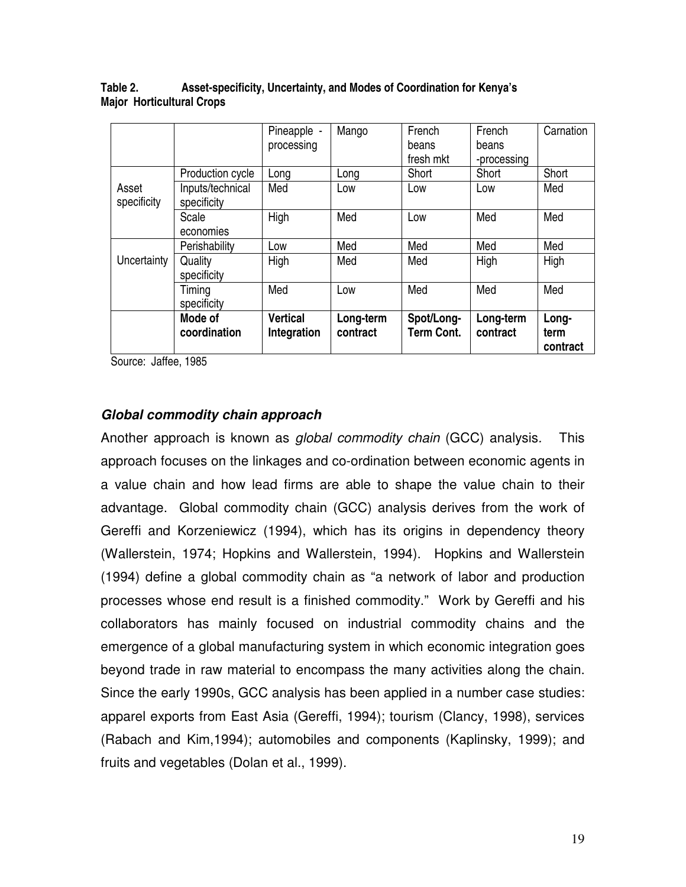|                      |                                 | Pineapple -                    | Mango                 | French                          | French                | Carnation                 |
|----------------------|---------------------------------|--------------------------------|-----------------------|---------------------------------|-----------------------|---------------------------|
|                      |                                 | processing                     |                       | beans                           | beans                 |                           |
|                      |                                 |                                |                       | fresh mkt                       | -processing           |                           |
|                      | Production cycle                | Long                           | Long                  | Short                           | Short                 | Short                     |
| Asset<br>specificity | Inputs/technical<br>specificity | Med                            | Low                   | Low                             | Low                   | Med                       |
|                      | Scale<br>economies              | High                           | Med                   | Low                             | Med                   | Med                       |
|                      | Perishability                   | Low                            | Med                   | Med                             | Med                   | Med                       |
| Uncertainty          | Quality<br>specificity          | High                           | Med                   | Med                             | High                  | High                      |
|                      | Timing<br>specificity           | Med                            | Low                   | Med                             | Med                   | Med                       |
|                      | Mode of<br>coordination         | <b>Vertical</b><br>Integration | Long-term<br>contract | Spot/Long-<br><b>Term Cont.</b> | Long-term<br>contract | Long-<br>term<br>contract |

**Table 2. Asset-specificity, Uncertainty, and Modes of Coordination for Kenya's Major Horticultural Crops** 

Source: Jaffee, 1985

#### **Global commodity chain approach**

Another approach is known as *global commodity chain* (GCC) analysis. This approach focuses on the linkages and co-ordination between economic agents in a value chain and how lead firms are able to shape the value chain to their advantage. Global commodity chain (GCC) analysis derives from the work of Gereffi and Korzeniewicz (1994), which has its origins in dependency theory (Wallerstein, 1974; Hopkins and Wallerstein, 1994). Hopkins and Wallerstein (1994) define a global commodity chain as "a network of labor and production processes whose end result is a finished commodity." Work by Gereffi and his collaborators has mainly focused on industrial commodity chains and the emergence of a global manufacturing system in which economic integration goes beyond trade in raw material to encompass the many activities along the chain. Since the early 1990s, GCC analysis has been applied in a number case studies: apparel exports from East Asia (Gereffi, 1994); tourism (Clancy, 1998), services (Rabach and Kim,1994); automobiles and components (Kaplinsky, 1999); and fruits and vegetables (Dolan et al., 1999).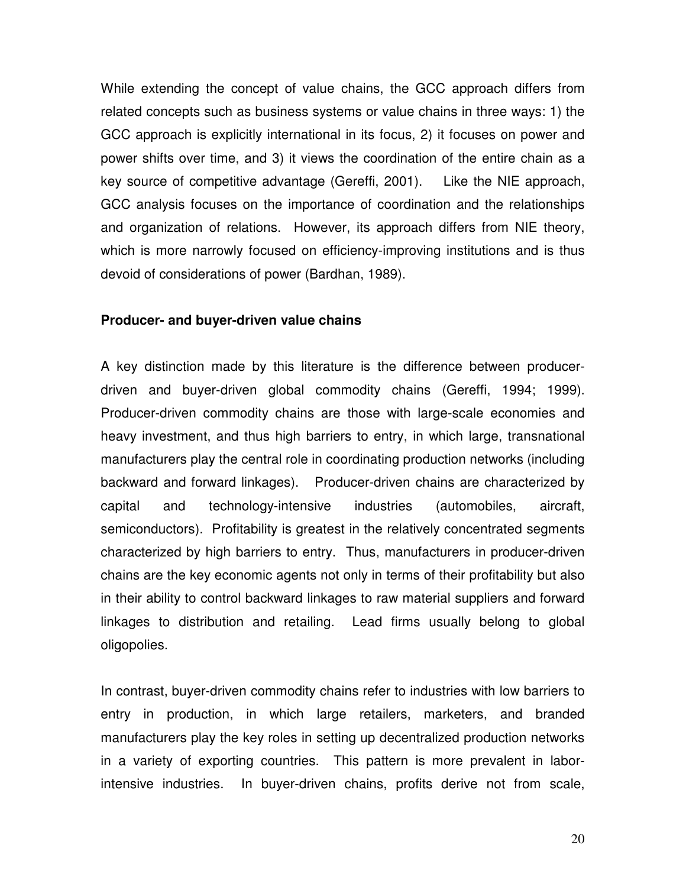While extending the concept of value chains, the GCC approach differs from related concepts such as business systems or value chains in three ways: 1) the GCC approach is explicitly international in its focus, 2) it focuses on power and power shifts over time, and 3) it views the coordination of the entire chain as a key source of competitive advantage (Gereffi, 2001). Like the NIE approach, GCC analysis focuses on the importance of coordination and the relationships and organization of relations. However, its approach differs from NIE theory, which is more narrowly focused on efficiency-improving institutions and is thus devoid of considerations of power (Bardhan, 1989).

#### **Producer- and buyer-driven value chains**

A key distinction made by this literature is the difference between producerdriven and buyer-driven global commodity chains (Gereffi, 1994; 1999). Producer-driven commodity chains are those with large-scale economies and heavy investment, and thus high barriers to entry, in which large, transnational manufacturers play the central role in coordinating production networks (including backward and forward linkages). Producer-driven chains are characterized by capital and technology-intensive industries (automobiles, aircraft, semiconductors). Profitability is greatest in the relatively concentrated segments characterized by high barriers to entry. Thus, manufacturers in producer-driven chains are the key economic agents not only in terms of their profitability but also in their ability to control backward linkages to raw material suppliers and forward linkages to distribution and retailing. Lead firms usually belong to global oligopolies.

In contrast, buyer-driven commodity chains refer to industries with low barriers to entry in production, in which large retailers, marketers, and branded manufacturers play the key roles in setting up decentralized production networks in a variety of exporting countries. This pattern is more prevalent in laborintensive industries. In buyer-driven chains, profits derive not from scale,

20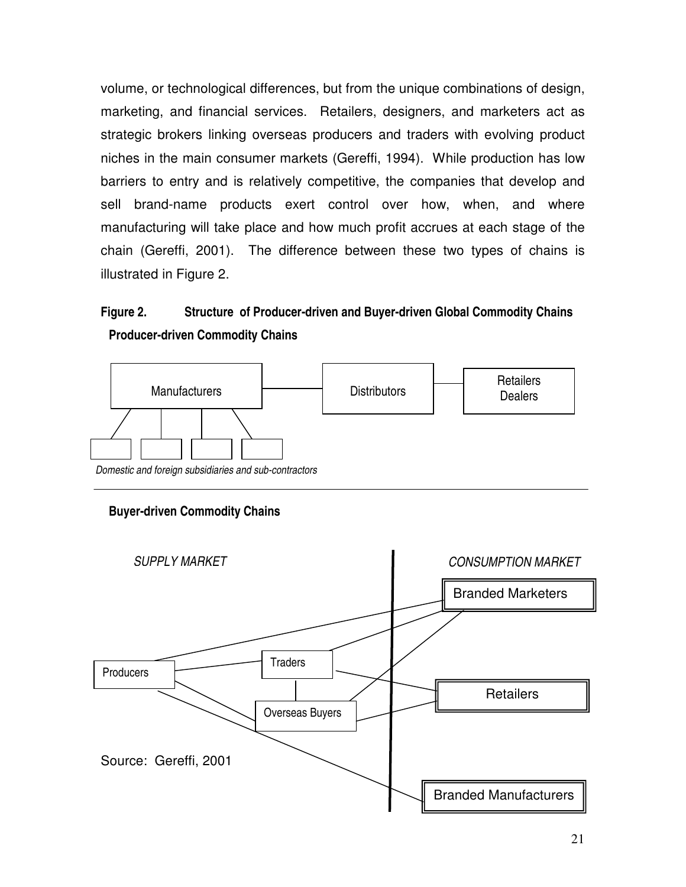volume, or technological differences, but from the unique combinations of design, marketing, and financial services. Retailers, designers, and marketers act as strategic brokers linking overseas producers and traders with evolving product niches in the main consumer markets (Gereffi, 1994). While production has low barriers to entry and is relatively competitive, the companies that develop and sell brand-name products exert control over how, when, and where manufacturing will take place and how much profit accrues at each stage of the chain (Gereffi, 2001). The difference between these two types of chains is illustrated in Figure 2.

## **Figure 2. Structure of Producer-driven and Buyer-driven Global Commodity Chains Producer-driven Commodity Chains**



#### **Buyer-driven Commodity Chains**

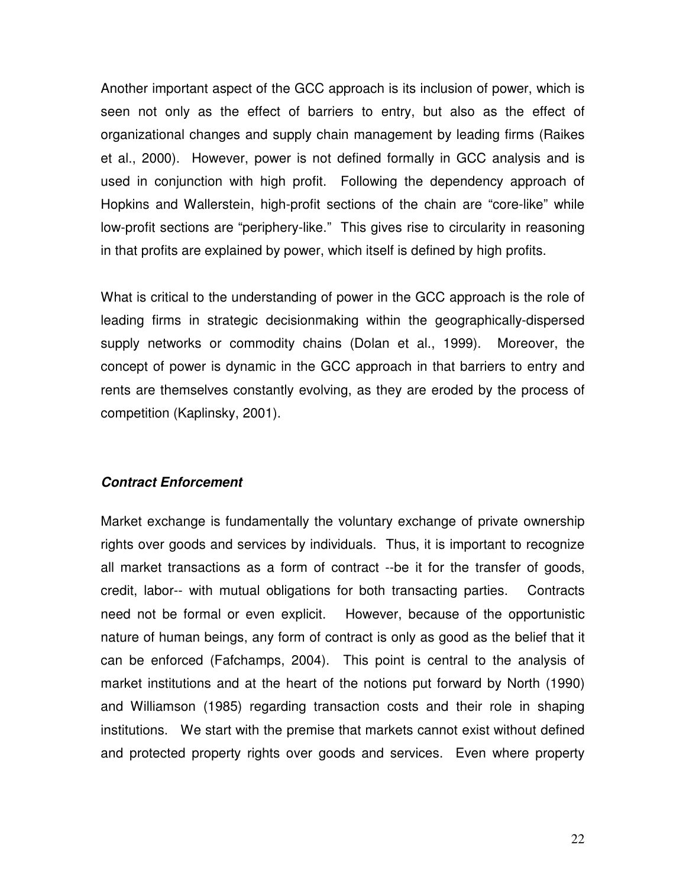Another important aspect of the GCC approach is its inclusion of power, which is seen not only as the effect of barriers to entry, but also as the effect of organizational changes and supply chain management by leading firms (Raikes et al., 2000). However, power is not defined formally in GCC analysis and is used in conjunction with high profit. Following the dependency approach of Hopkins and Wallerstein, high-profit sections of the chain are "core-like" while low-profit sections are "periphery-like." This gives rise to circularity in reasoning in that profits are explained by power, which itself is defined by high profits.

What is critical to the understanding of power in the GCC approach is the role of leading firms in strategic decisionmaking within the geographically-dispersed supply networks or commodity chains (Dolan et al., 1999). Moreover, the concept of power is dynamic in the GCC approach in that barriers to entry and rents are themselves constantly evolving, as they are eroded by the process of competition (Kaplinsky, 2001).

#### **Contract Enforcement**

Market exchange is fundamentally the voluntary exchange of private ownership rights over goods and services by individuals. Thus, it is important to recognize all market transactions as a form of contract --be it for the transfer of goods, credit, labor-- with mutual obligations for both transacting parties. Contracts need not be formal or even explicit. However, because of the opportunistic nature of human beings, any form of contract is only as good as the belief that it can be enforced (Fafchamps, 2004). This point is central to the analysis of market institutions and at the heart of the notions put forward by North (1990) and Williamson (1985) regarding transaction costs and their role in shaping institutions. We start with the premise that markets cannot exist without defined and protected property rights over goods and services. Even where property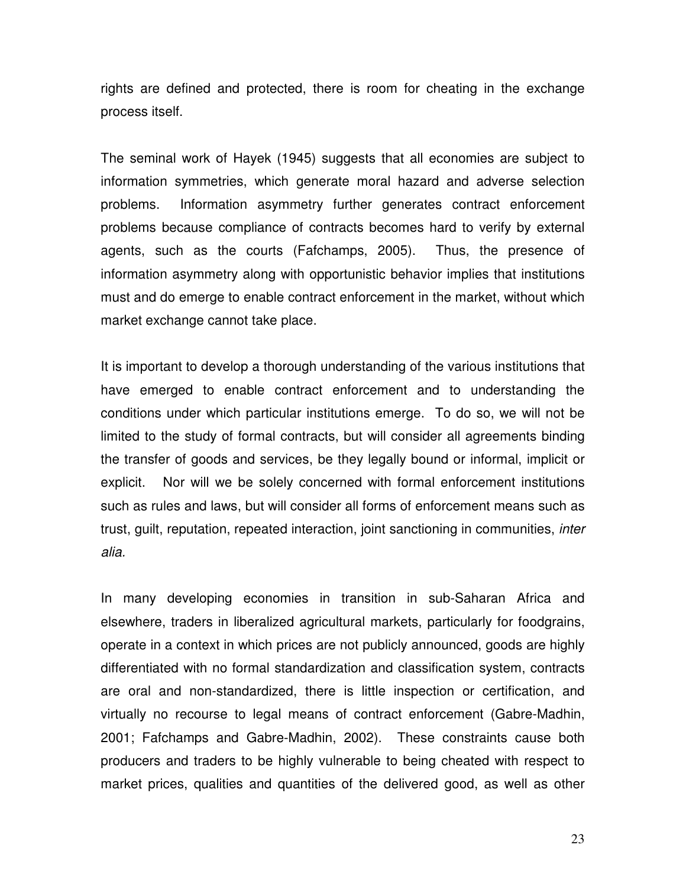rights are defined and protected, there is room for cheating in the exchange process itself.

The seminal work of Hayek (1945) suggests that all economies are subject to information symmetries, which generate moral hazard and adverse selection problems. Information asymmetry further generates contract enforcement problems because compliance of contracts becomes hard to verify by external agents, such as the courts (Fafchamps, 2005). Thus, the presence of information asymmetry along with opportunistic behavior implies that institutions must and do emerge to enable contract enforcement in the market, without which market exchange cannot take place.

It is important to develop a thorough understanding of the various institutions that have emerged to enable contract enforcement and to understanding the conditions under which particular institutions emerge. To do so, we will not be limited to the study of formal contracts, but will consider all agreements binding the transfer of goods and services, be they legally bound or informal, implicit or explicit. Nor will we be solely concerned with formal enforcement institutions such as rules and laws, but will consider all forms of enforcement means such as trust, guilt, reputation, repeated interaction, joint sanctioning in communities, inter alia.

In many developing economies in transition in sub-Saharan Africa and elsewhere, traders in liberalized agricultural markets, particularly for foodgrains, operate in a context in which prices are not publicly announced, goods are highly differentiated with no formal standardization and classification system, contracts are oral and non-standardized, there is little inspection or certification, and virtually no recourse to legal means of contract enforcement (Gabre-Madhin, 2001; Fafchamps and Gabre-Madhin, 2002). These constraints cause both producers and traders to be highly vulnerable to being cheated with respect to market prices, qualities and quantities of the delivered good, as well as other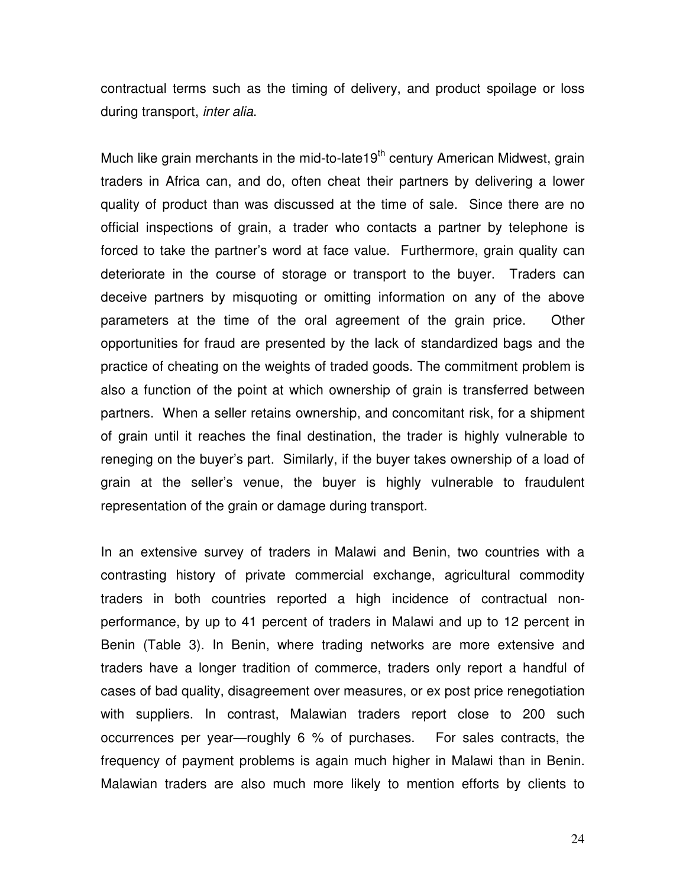contractual terms such as the timing of delivery, and product spoilage or loss during transport, *inter alia*.

Much like grain merchants in the mid-to-late19<sup>th</sup> century American Midwest, grain traders in Africa can, and do, often cheat their partners by delivering a lower quality of product than was discussed at the time of sale. Since there are no official inspections of grain, a trader who contacts a partner by telephone is forced to take the partner's word at face value. Furthermore, grain quality can deteriorate in the course of storage or transport to the buyer. Traders can deceive partners by misquoting or omitting information on any of the above parameters at the time of the oral agreement of the grain price. Other opportunities for fraud are presented by the lack of standardized bags and the practice of cheating on the weights of traded goods. The commitment problem is also a function of the point at which ownership of grain is transferred between partners. When a seller retains ownership, and concomitant risk, for a shipment of grain until it reaches the final destination, the trader is highly vulnerable to reneging on the buyer's part. Similarly, if the buyer takes ownership of a load of grain at the seller's venue, the buyer is highly vulnerable to fraudulent representation of the grain or damage during transport.

In an extensive survey of traders in Malawi and Benin, two countries with a contrasting history of private commercial exchange, agricultural commodity traders in both countries reported a high incidence of contractual nonperformance, by up to 41 percent of traders in Malawi and up to 12 percent in Benin (Table 3). In Benin, where trading networks are more extensive and traders have a longer tradition of commerce, traders only report a handful of cases of bad quality, disagreement over measures, or ex post price renegotiation with suppliers. In contrast, Malawian traders report close to 200 such occurrences per year—roughly 6 % of purchases. For sales contracts, the frequency of payment problems is again much higher in Malawi than in Benin. Malawian traders are also much more likely to mention efforts by clients to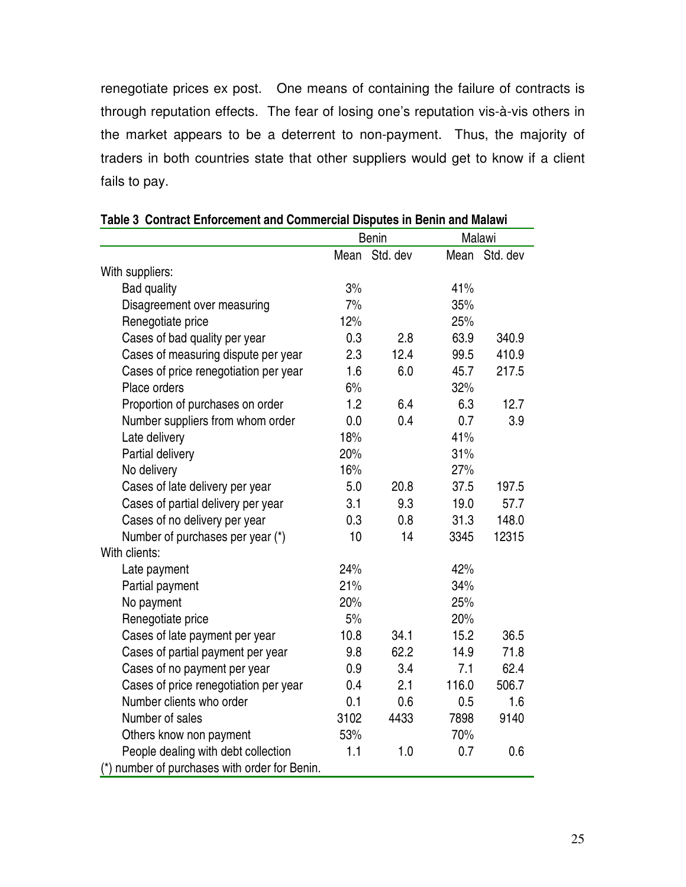renegotiate prices ex post. One means of containing the failure of contracts is through reputation effects. The fear of losing one's reputation vis-à-vis others in the market appears to be a deterrent to non-payment. Thus, the majority of traders in both countries state that other suppliers would get to know if a client fails to pay.

|                                               | <b>Benin</b> |               |       | Malawi        |  |  |
|-----------------------------------------------|--------------|---------------|-------|---------------|--|--|
|                                               |              | Mean Std. dev |       | Mean Std. dev |  |  |
| With suppliers:                               |              |               |       |               |  |  |
| <b>Bad quality</b>                            | 3%           |               | 41%   |               |  |  |
| Disagreement over measuring                   | 7%           |               | 35%   |               |  |  |
| Renegotiate price                             | 12%          |               | 25%   |               |  |  |
| Cases of bad quality per year                 | 0.3          | 2.8           | 63.9  | 340.9         |  |  |
| Cases of measuring dispute per year           | 2.3          | 12.4          | 99.5  | 410.9         |  |  |
| Cases of price renegotiation per year         | 1.6          | 6.0           | 45.7  | 217.5         |  |  |
| Place orders                                  | 6%           |               | 32%   |               |  |  |
| Proportion of purchases on order              | 1.2          | 6.4           | 6.3   | 12.7          |  |  |
| Number suppliers from whom order              | 0.0          | 0.4           | 0.7   | 3.9           |  |  |
| Late delivery                                 | 18%          |               | 41%   |               |  |  |
| Partial delivery                              | 20%          |               | 31%   |               |  |  |
| No delivery                                   | 16%          |               | 27%   |               |  |  |
| Cases of late delivery per year               | 5.0          | 20.8          | 37.5  | 197.5         |  |  |
| Cases of partial delivery per year            | 3.1          | 9.3           | 19.0  | 57.7          |  |  |
| Cases of no delivery per year                 | 0.3          | 0.8           | 31.3  | 148.0         |  |  |
| Number of purchases per year (*)              | 10           | 14            | 3345  | 12315         |  |  |
| With clients:                                 |              |               |       |               |  |  |
| Late payment                                  | 24%          |               | 42%   |               |  |  |
| Partial payment                               | 21%          |               | 34%   |               |  |  |
| No payment                                    | 20%          |               | 25%   |               |  |  |
| Renegotiate price                             | 5%           |               | 20%   |               |  |  |
| Cases of late payment per year                | 10.8         | 34.1          | 15.2  | 36.5          |  |  |
| Cases of partial payment per year             | 9.8          | 62.2          | 14.9  | 71.8          |  |  |
| Cases of no payment per year                  | 0.9          | 3.4           | 7.1   | 62.4          |  |  |
| Cases of price renegotiation per year         | 0.4          | 2.1           | 116.0 | 506.7         |  |  |
| Number clients who order                      | 0.1          | 0.6           | 0.5   | 1.6           |  |  |
| Number of sales                               | 3102         | 4433          | 7898  | 9140          |  |  |
| Others know non payment                       | 53%          |               | 70%   |               |  |  |
| People dealing with debt collection           | 1.1          | 1.0           | 0.7   | 0.6           |  |  |
| (*) number of purchases with order for Benin. |              |               |       |               |  |  |

#### **Table 3 Contract Enforcement and Commercial Disputes in Benin and Malawi**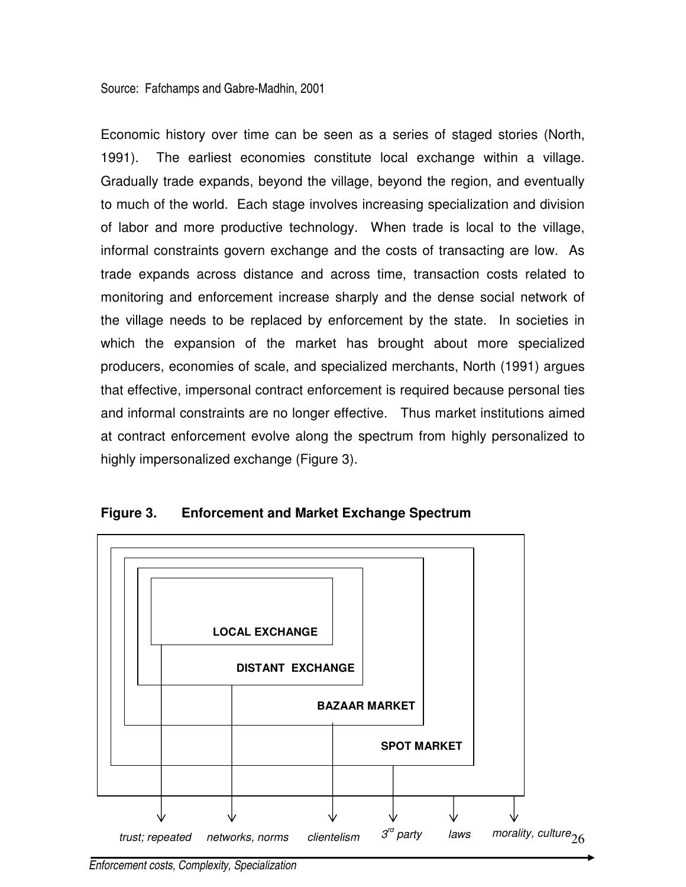Source: Fafchamps and Gabre-Madhin, 2001

Economic history over time can be seen as a series of staged stories (North, 1991). The earliest economies constitute local exchange within a village. Gradually trade expands, beyond the village, beyond the region, and eventually to much of the world. Each stage involves increasing specialization and division of labor and more productive technology. When trade is local to the village, informal constraints govern exchange and the costs of transacting are low. As trade expands across distance and across time, transaction costs related to monitoring and enforcement increase sharply and the dense social network of the village needs to be replaced by enforcement by the state. In societies in which the expansion of the market has brought about more specialized producers, economies of scale, and specialized merchants, North (1991) argues that effective, impersonal contract enforcement is required because personal ties and informal constraints are no longer effective. Thus market institutions aimed at contract enforcement evolve along the spectrum from highly personalized to highly impersonalized exchange (Figure 3).



**Figure 3. Enforcement and Market Exchange Spectrum** 

Enforcement costs, Complexity, Specialization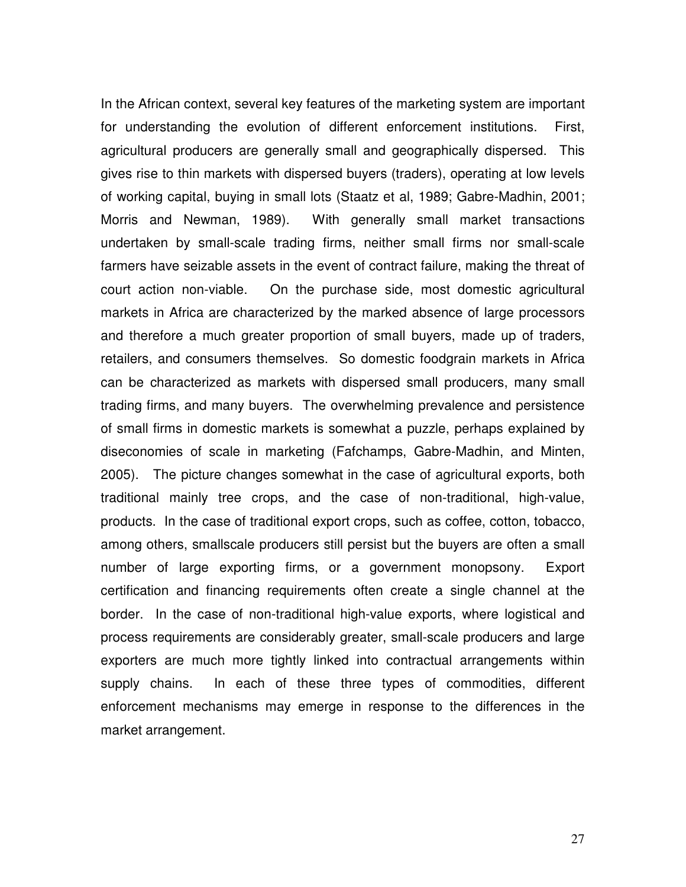In the African context, several key features of the marketing system are important for understanding the evolution of different enforcement institutions. First, agricultural producers are generally small and geographically dispersed. This gives rise to thin markets with dispersed buyers (traders), operating at low levels of working capital, buying in small lots (Staatz et al, 1989; Gabre-Madhin, 2001; Morris and Newman, 1989). With generally small market transactions undertaken by small-scale trading firms, neither small firms nor small-scale farmers have seizable assets in the event of contract failure, making the threat of court action non-viable. On the purchase side, most domestic agricultural markets in Africa are characterized by the marked absence of large processors and therefore a much greater proportion of small buyers, made up of traders, retailers, and consumers themselves. So domestic foodgrain markets in Africa can be characterized as markets with dispersed small producers, many small trading firms, and many buyers. The overwhelming prevalence and persistence of small firms in domestic markets is somewhat a puzzle, perhaps explained by diseconomies of scale in marketing (Fafchamps, Gabre-Madhin, and Minten, 2005). The picture changes somewhat in the case of agricultural exports, both traditional mainly tree crops, and the case of non-traditional, high-value, products. In the case of traditional export crops, such as coffee, cotton, tobacco, among others, smallscale producers still persist but the buyers are often a small number of large exporting firms, or a government monopsony. Export certification and financing requirements often create a single channel at the border. In the case of non-traditional high-value exports, where logistical and process requirements are considerably greater, small-scale producers and large exporters are much more tightly linked into contractual arrangements within supply chains. In each of these three types of commodities, different enforcement mechanisms may emerge in response to the differences in the market arrangement.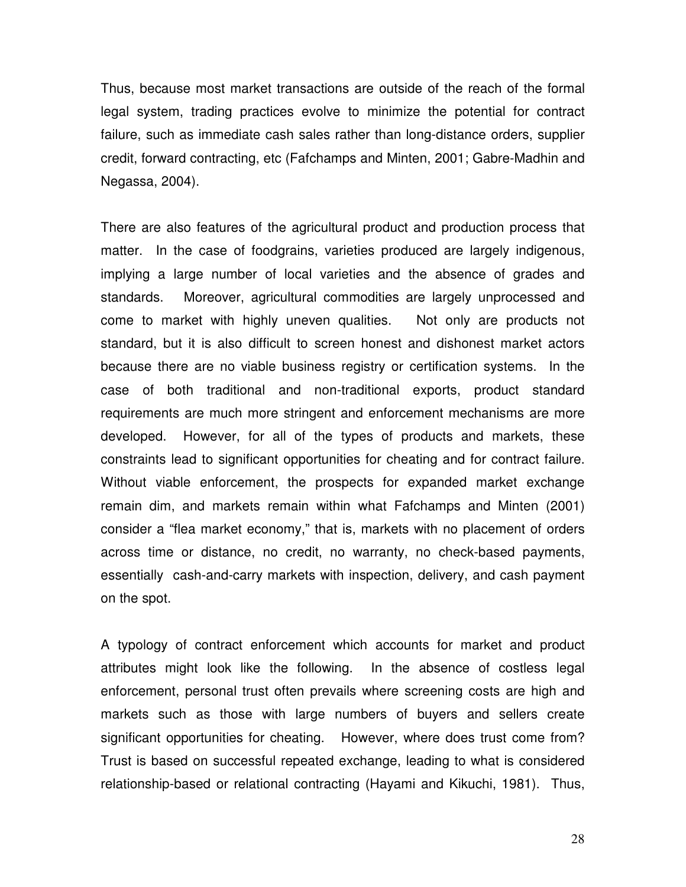Thus, because most market transactions are outside of the reach of the formal legal system, trading practices evolve to minimize the potential for contract failure, such as immediate cash sales rather than long-distance orders, supplier credit, forward contracting, etc (Fafchamps and Minten, 2001; Gabre-Madhin and Negassa, 2004).

There are also features of the agricultural product and production process that matter. In the case of foodgrains, varieties produced are largely indigenous, implying a large number of local varieties and the absence of grades and standards. Moreover, agricultural commodities are largely unprocessed and come to market with highly uneven qualities. Not only are products not standard, but it is also difficult to screen honest and dishonest market actors because there are no viable business registry or certification systems. In the case of both traditional and non-traditional exports, product standard requirements are much more stringent and enforcement mechanisms are more developed. However, for all of the types of products and markets, these constraints lead to significant opportunities for cheating and for contract failure. Without viable enforcement, the prospects for expanded market exchange remain dim, and markets remain within what Fafchamps and Minten (2001) consider a "flea market economy," that is, markets with no placement of orders across time or distance, no credit, no warranty, no check-based payments, essentially cash-and-carry markets with inspection, delivery, and cash payment on the spot.

A typology of contract enforcement which accounts for market and product attributes might look like the following. In the absence of costless legal enforcement, personal trust often prevails where screening costs are high and markets such as those with large numbers of buyers and sellers create significant opportunities for cheating. However, where does trust come from? Trust is based on successful repeated exchange, leading to what is considered relationship-based or relational contracting (Hayami and Kikuchi, 1981). Thus,

28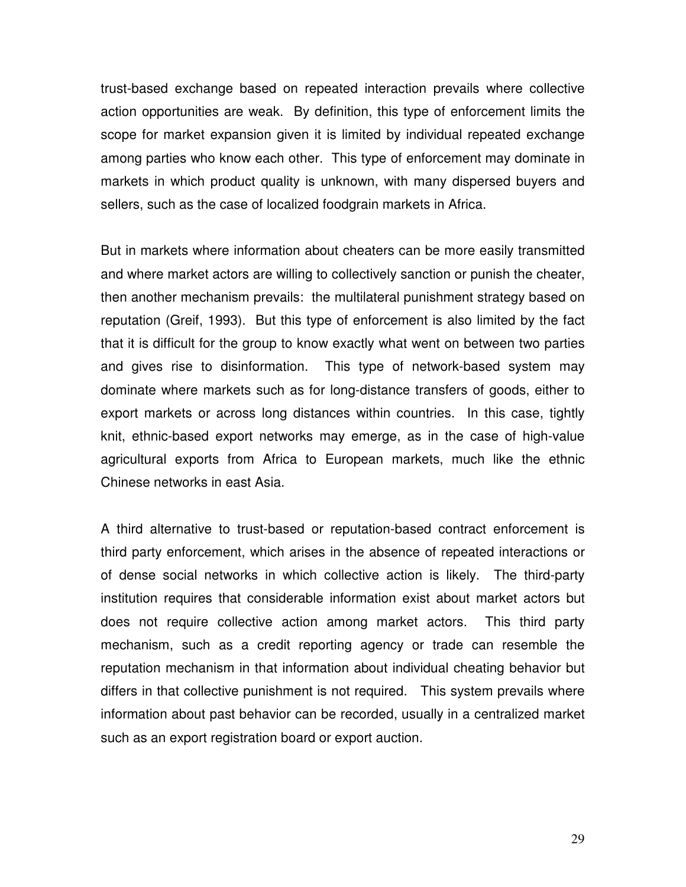trust-based exchange based on repeated interaction prevails where collective action opportunities are weak. By definition, this type of enforcement limits the scope for market expansion given it is limited by individual repeated exchange among parties who know each other. This type of enforcement may dominate in markets in which product quality is unknown, with many dispersed buyers and sellers, such as the case of localized foodgrain markets in Africa.

But in markets where information about cheaters can be more easily transmitted and where market actors are willing to collectively sanction or punish the cheater, then another mechanism prevails: the multilateral punishment strategy based on reputation (Greif, 1993). But this type of enforcement is also limited by the fact that it is difficult for the group to know exactly what went on between two parties and gives rise to disinformation. This type of network-based system may dominate where markets such as for long-distance transfers of goods, either to export markets or across long distances within countries. In this case, tightly knit, ethnic-based export networks may emerge, as in the case of high-value agricultural exports from Africa to European markets, much like the ethnic Chinese networks in east Asia.

A third alternative to trust-based or reputation-based contract enforcement is third party enforcement, which arises in the absence of repeated interactions or of dense social networks in which collective action is likely. The third-party institution requires that considerable information exist about market actors but does not require collective action among market actors. This third party mechanism, such as a credit reporting agency or trade can resemble the reputation mechanism in that information about individual cheating behavior but differs in that collective punishment is not required. This system prevails where information about past behavior can be recorded, usually in a centralized market such as an export registration board or export auction.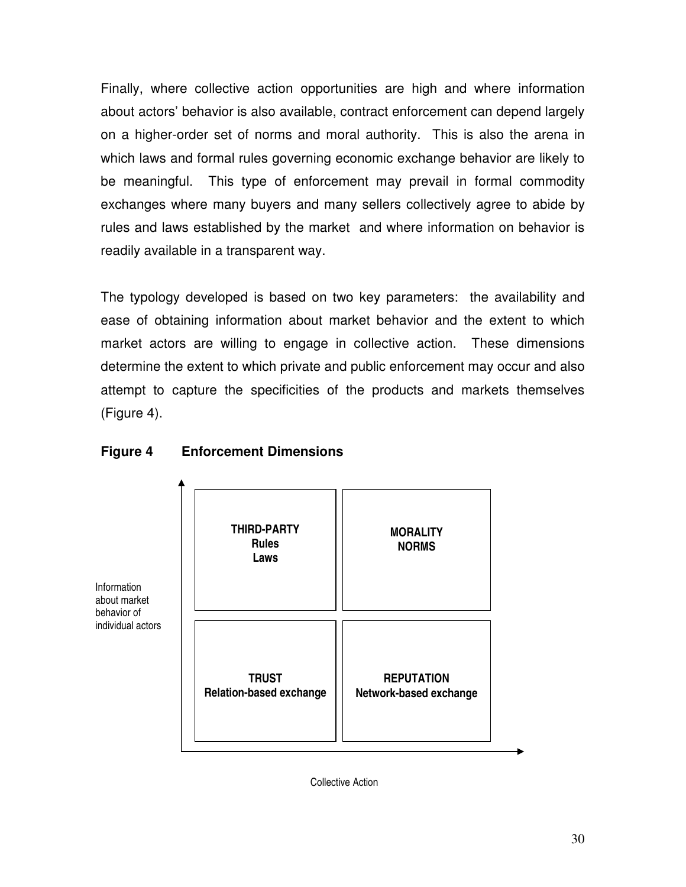Finally, where collective action opportunities are high and where information about actors' behavior is also available, contract enforcement can depend largely on a higher-order set of norms and moral authority. This is also the arena in which laws and formal rules governing economic exchange behavior are likely to be meaningful. This type of enforcement may prevail in formal commodity exchanges where many buyers and many sellers collectively agree to abide by rules and laws established by the market and where information on behavior is readily available in a transparent way.

The typology developed is based on two key parameters: the availability and ease of obtaining information about market behavior and the extent to which market actors are willing to engage in collective action. These dimensions determine the extent to which private and public enforcement may occur and also attempt to capture the specificities of the products and markets themselves (Figure 4).

#### **Figure 4 Enforcement Dimensions**

Information about market behavior of



Collective Action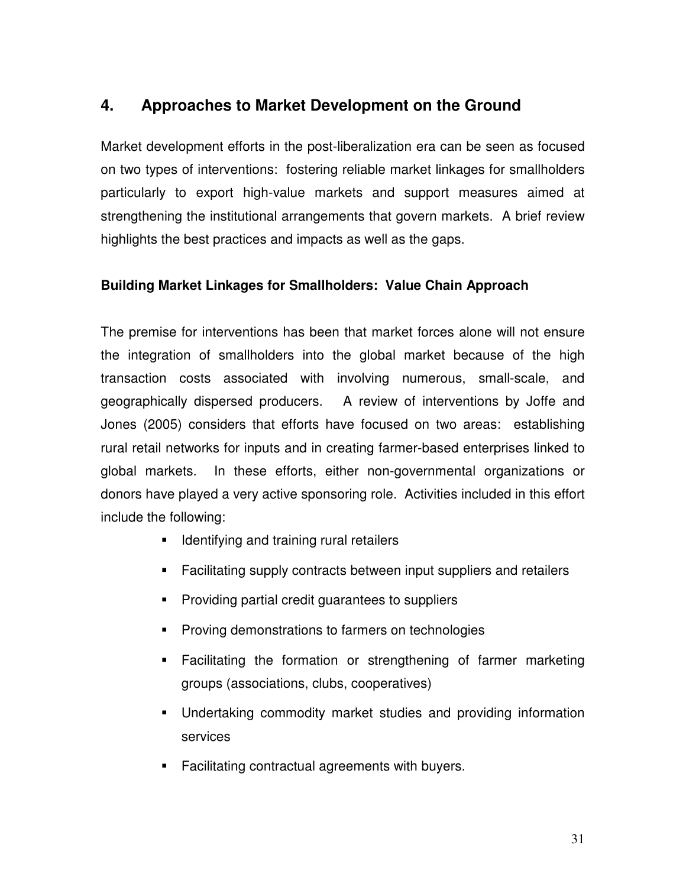# **4. Approaches to Market Development on the Ground**

Market development efforts in the post-liberalization era can be seen as focused on two types of interventions: fostering reliable market linkages for smallholders particularly to export high-value markets and support measures aimed at strengthening the institutional arrangements that govern markets. A brief review highlights the best practices and impacts as well as the gaps.

#### **Building Market Linkages for Smallholders: Value Chain Approach**

The premise for interventions has been that market forces alone will not ensure the integration of smallholders into the global market because of the high transaction costs associated with involving numerous, small-scale, and geographically dispersed producers. A review of interventions by Joffe and Jones (2005) considers that efforts have focused on two areas: establishing rural retail networks for inputs and in creating farmer-based enterprises linked to global markets. In these efforts, either non-governmental organizations or donors have played a very active sponsoring role. Activities included in this effort include the following:

- **IDENT** Identifying and training rural retailers
- Facilitating supply contracts between input suppliers and retailers
- **Providing partial credit guarantees to suppliers**
- **Proving demonstrations to farmers on technologies**
- Facilitating the formation or strengthening of farmer marketing groups (associations, clubs, cooperatives)
- Undertaking commodity market studies and providing information services
- **Facilitating contractual agreements with buyers.**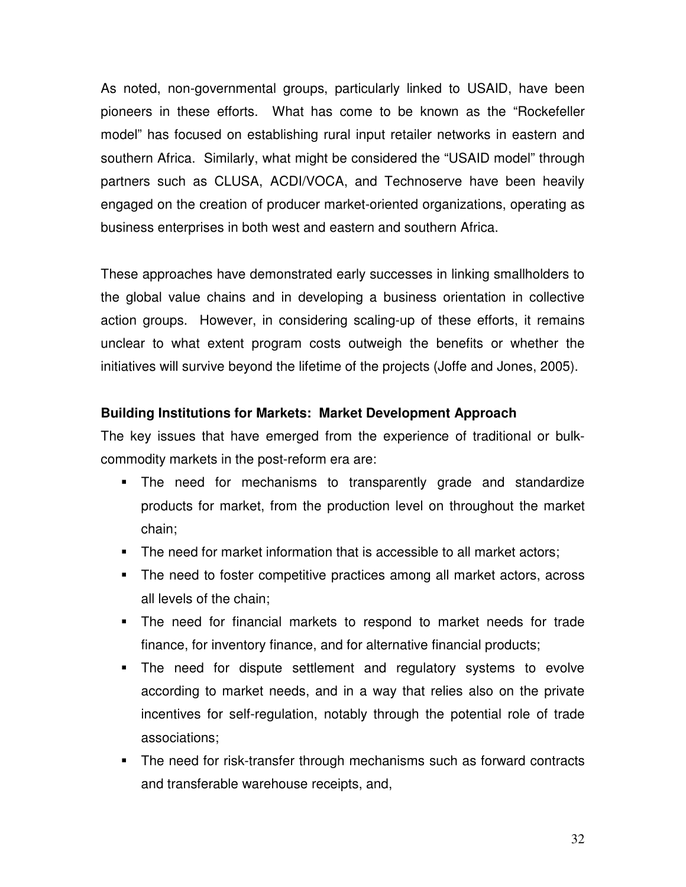As noted, non-governmental groups, particularly linked to USAID, have been pioneers in these efforts. What has come to be known as the "Rockefeller model" has focused on establishing rural input retailer networks in eastern and southern Africa. Similarly, what might be considered the "USAID model" through partners such as CLUSA, ACDI/VOCA, and Technoserve have been heavily engaged on the creation of producer market-oriented organizations, operating as business enterprises in both west and eastern and southern Africa.

These approaches have demonstrated early successes in linking smallholders to the global value chains and in developing a business orientation in collective action groups. However, in considering scaling-up of these efforts, it remains unclear to what extent program costs outweigh the benefits or whether the initiatives will survive beyond the lifetime of the projects (Joffe and Jones, 2005).

#### **Building Institutions for Markets: Market Development Approach**

The key issues that have emerged from the experience of traditional or bulkcommodity markets in the post-reform era are:

- The need for mechanisms to transparently grade and standardize products for market, from the production level on throughout the market chain;
- The need for market information that is accessible to all market actors;
- The need to foster competitive practices among all market actors, across all levels of the chain;
- The need for financial markets to respond to market needs for trade finance, for inventory finance, and for alternative financial products;
- The need for dispute settlement and regulatory systems to evolve according to market needs, and in a way that relies also on the private incentives for self-regulation, notably through the potential role of trade associations;
- **The need for risk-transfer through mechanisms such as forward contracts** and transferable warehouse receipts, and,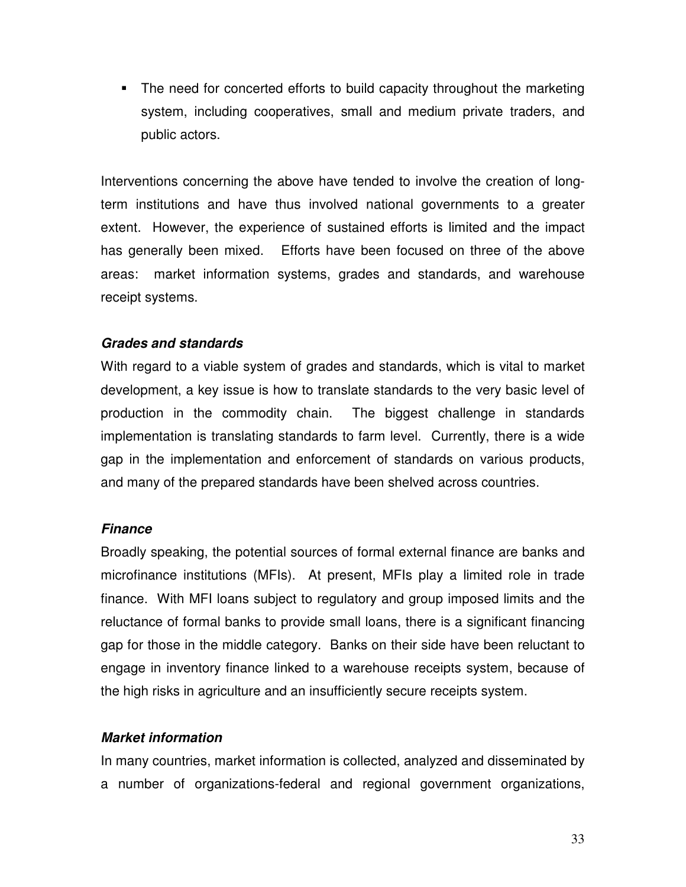The need for concerted efforts to build capacity throughout the marketing system, including cooperatives, small and medium private traders, and public actors.

Interventions concerning the above have tended to involve the creation of longterm institutions and have thus involved national governments to a greater extent. However, the experience of sustained efforts is limited and the impact has generally been mixed. Efforts have been focused on three of the above areas: market information systems, grades and standards, and warehouse receipt systems.

#### **Grades and standards**

With regard to a viable system of grades and standards, which is vital to market development, a key issue is how to translate standards to the very basic level of production in the commodity chain. The biggest challenge in standards implementation is translating standards to farm level. Currently, there is a wide gap in the implementation and enforcement of standards on various products, and many of the prepared standards have been shelved across countries.

#### **Finance**

Broadly speaking, the potential sources of formal external finance are banks and microfinance institutions (MFIs). At present, MFIs play a limited role in trade finance. With MFI loans subject to regulatory and group imposed limits and the reluctance of formal banks to provide small loans, there is a significant financing gap for those in the middle category. Banks on their side have been reluctant to engage in inventory finance linked to a warehouse receipts system, because of the high risks in agriculture and an insufficiently secure receipts system.

#### **Market information**

In many countries, market information is collected, analyzed and disseminated by a number of organizations-federal and regional government organizations,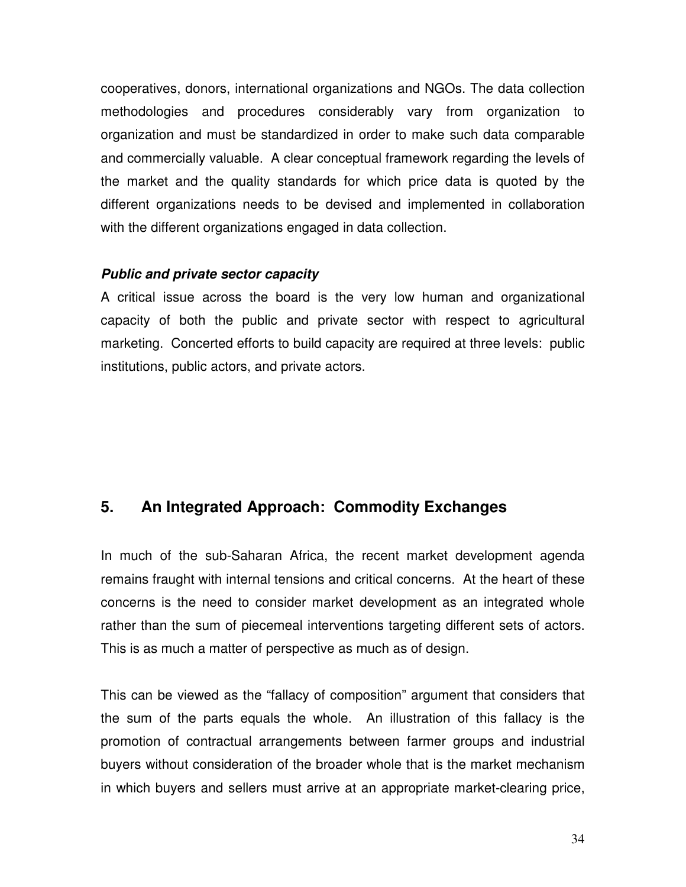cooperatives, donors, international organizations and NGOs. The data collection methodologies and procedures considerably vary from organization to organization and must be standardized in order to make such data comparable and commercially valuable. A clear conceptual framework regarding the levels of the market and the quality standards for which price data is quoted by the different organizations needs to be devised and implemented in collaboration with the different organizations engaged in data collection.

#### **Public and private sector capacity**

A critical issue across the board is the very low human and organizational capacity of both the public and private sector with respect to agricultural marketing. Concerted efforts to build capacity are required at three levels: public institutions, public actors, and private actors.

## **5. An Integrated Approach: Commodity Exchanges**

In much of the sub-Saharan Africa, the recent market development agenda remains fraught with internal tensions and critical concerns. At the heart of these concerns is the need to consider market development as an integrated whole rather than the sum of piecemeal interventions targeting different sets of actors. This is as much a matter of perspective as much as of design.

This can be viewed as the "fallacy of composition" argument that considers that the sum of the parts equals the whole. An illustration of this fallacy is the promotion of contractual arrangements between farmer groups and industrial buyers without consideration of the broader whole that is the market mechanism in which buyers and sellers must arrive at an appropriate market-clearing price,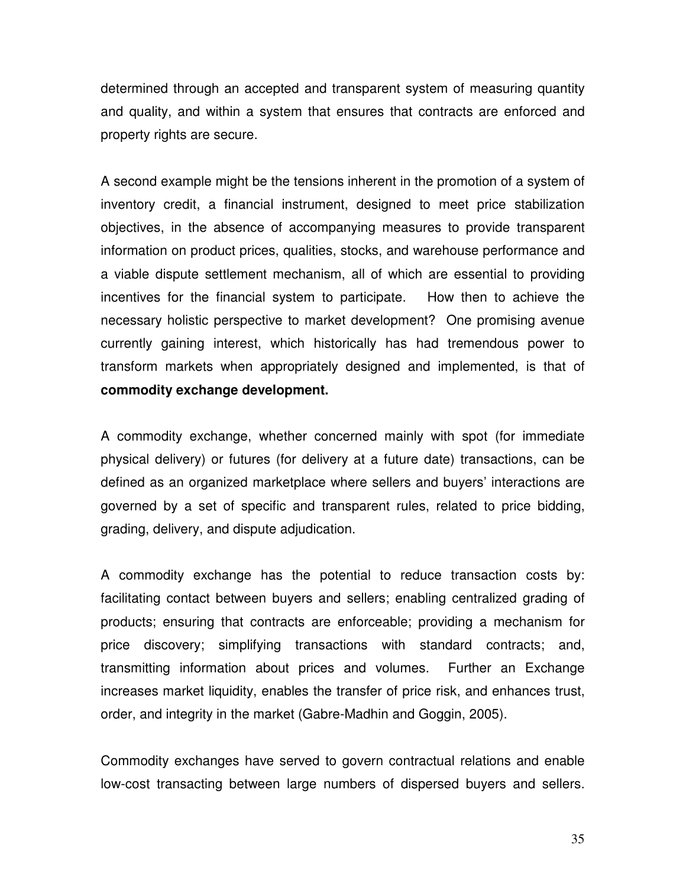determined through an accepted and transparent system of measuring quantity and quality, and within a system that ensures that contracts are enforced and property rights are secure.

A second example might be the tensions inherent in the promotion of a system of inventory credit, a financial instrument, designed to meet price stabilization objectives, in the absence of accompanying measures to provide transparent information on product prices, qualities, stocks, and warehouse performance and a viable dispute settlement mechanism, all of which are essential to providing incentives for the financial system to participate. How then to achieve the necessary holistic perspective to market development? One promising avenue currently gaining interest, which historically has had tremendous power to transform markets when appropriately designed and implemented, is that of **commodity exchange development.** 

A commodity exchange, whether concerned mainly with spot (for immediate physical delivery) or futures (for delivery at a future date) transactions, can be defined as an organized marketplace where sellers and buyers' interactions are governed by a set of specific and transparent rules, related to price bidding, grading, delivery, and dispute adjudication.

A commodity exchange has the potential to reduce transaction costs by: facilitating contact between buyers and sellers; enabling centralized grading of products; ensuring that contracts are enforceable; providing a mechanism for price discovery; simplifying transactions with standard contracts; and, transmitting information about prices and volumes. Further an Exchange increases market liquidity, enables the transfer of price risk, and enhances trust, order, and integrity in the market (Gabre-Madhin and Goggin, 2005).

Commodity exchanges have served to govern contractual relations and enable low-cost transacting between large numbers of dispersed buyers and sellers.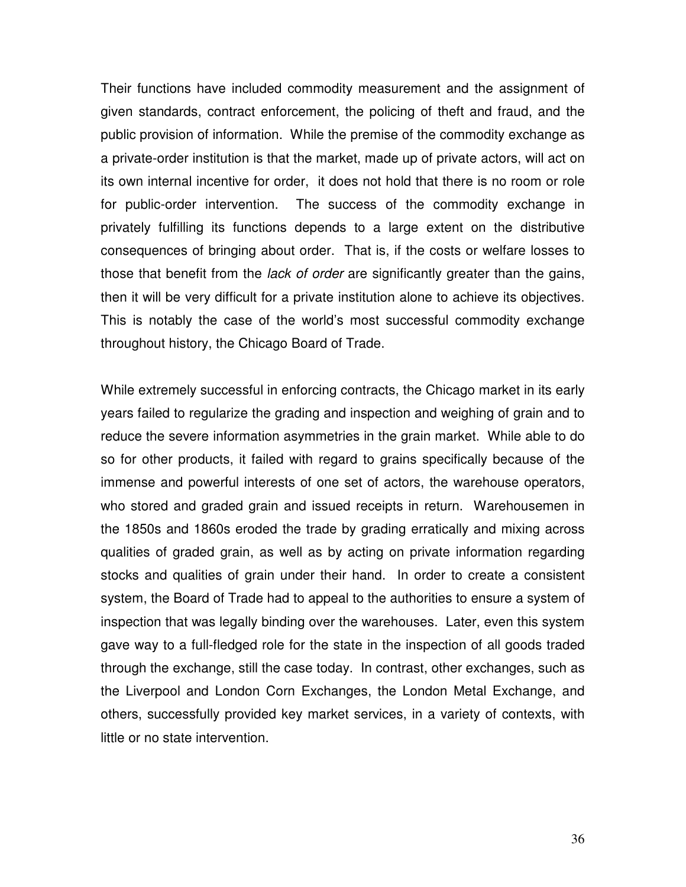Their functions have included commodity measurement and the assignment of given standards, contract enforcement, the policing of theft and fraud, and the public provision of information. While the premise of the commodity exchange as a private-order institution is that the market, made up of private actors, will act on its own internal incentive for order, it does not hold that there is no room or role for public-order intervention. The success of the commodity exchange in privately fulfilling its functions depends to a large extent on the distributive consequences of bringing about order. That is, if the costs or welfare losses to those that benefit from the *lack of order* are significantly greater than the gains, then it will be very difficult for a private institution alone to achieve its objectives. This is notably the case of the world's most successful commodity exchange throughout history, the Chicago Board of Trade.

While extremely successful in enforcing contracts, the Chicago market in its early years failed to regularize the grading and inspection and weighing of grain and to reduce the severe information asymmetries in the grain market. While able to do so for other products, it failed with regard to grains specifically because of the immense and powerful interests of one set of actors, the warehouse operators, who stored and graded grain and issued receipts in return. Warehousemen in the 1850s and 1860s eroded the trade by grading erratically and mixing across qualities of graded grain, as well as by acting on private information regarding stocks and qualities of grain under their hand. In order to create a consistent system, the Board of Trade had to appeal to the authorities to ensure a system of inspection that was legally binding over the warehouses. Later, even this system gave way to a full-fledged role for the state in the inspection of all goods traded through the exchange, still the case today. In contrast, other exchanges, such as the Liverpool and London Corn Exchanges, the London Metal Exchange, and others, successfully provided key market services, in a variety of contexts, with little or no state intervention.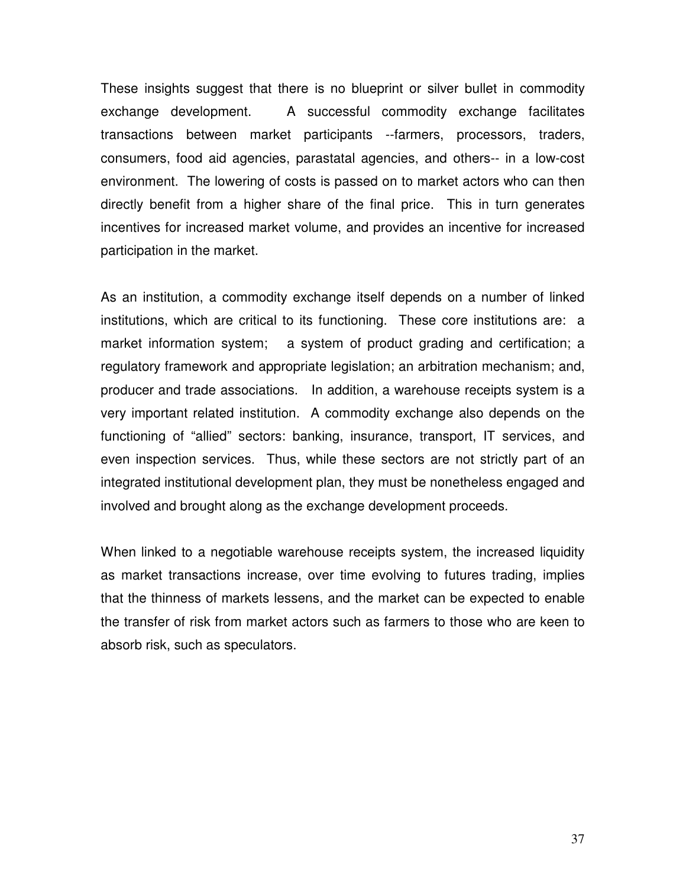These insights suggest that there is no blueprint or silver bullet in commodity exchange development. A successful commodity exchange facilitates transactions between market participants --farmers, processors, traders, consumers, food aid agencies, parastatal agencies, and others-- in a low-cost environment. The lowering of costs is passed on to market actors who can then directly benefit from a higher share of the final price. This in turn generates incentives for increased market volume, and provides an incentive for increased participation in the market.

As an institution, a commodity exchange itself depends on a number of linked institutions, which are critical to its functioning. These core institutions are: a market information system; a system of product grading and certification; a regulatory framework and appropriate legislation; an arbitration mechanism; and, producer and trade associations. In addition, a warehouse receipts system is a very important related institution. A commodity exchange also depends on the functioning of "allied" sectors: banking, insurance, transport, IT services, and even inspection services. Thus, while these sectors are not strictly part of an integrated institutional development plan, they must be nonetheless engaged and involved and brought along as the exchange development proceeds.

When linked to a negotiable warehouse receipts system, the increased liquidity as market transactions increase, over time evolving to futures trading, implies that the thinness of markets lessens, and the market can be expected to enable the transfer of risk from market actors such as farmers to those who are keen to absorb risk, such as speculators.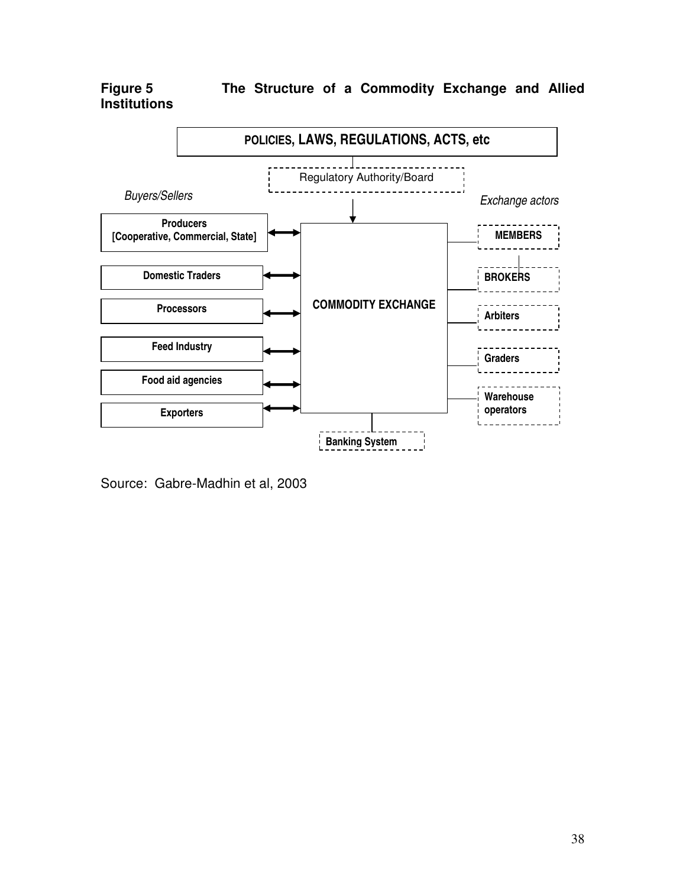**Institutions** 

**Figure 5 The Structure of a Commodity Exchange and Allied** 



Source: Gabre-Madhin et al, 2003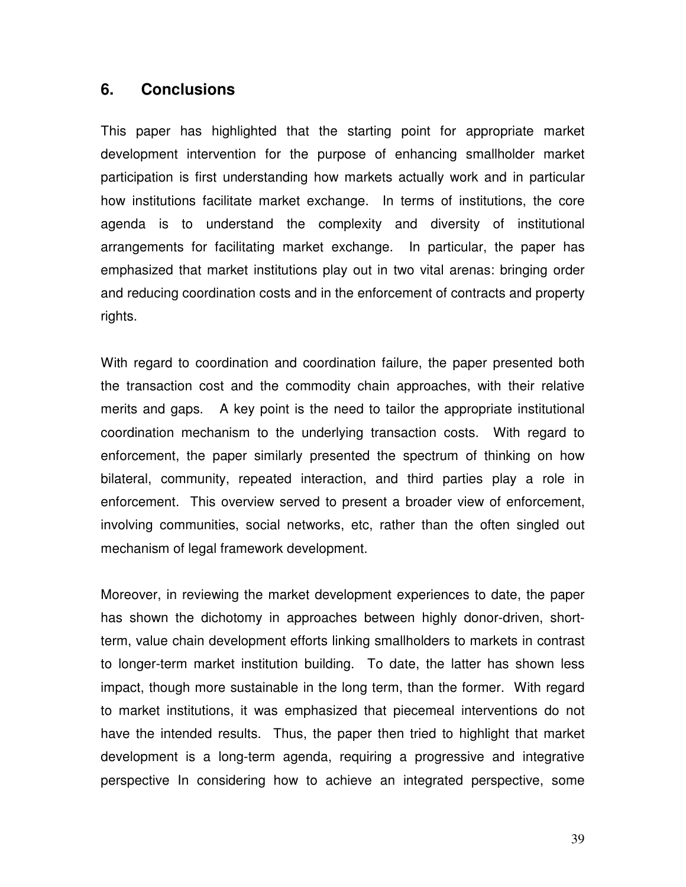#### **6. Conclusions**

This paper has highlighted that the starting point for appropriate market development intervention for the purpose of enhancing smallholder market participation is first understanding how markets actually work and in particular how institutions facilitate market exchange. In terms of institutions, the core agenda is to understand the complexity and diversity of institutional arrangements for facilitating market exchange. In particular, the paper has emphasized that market institutions play out in two vital arenas: bringing order and reducing coordination costs and in the enforcement of contracts and property rights.

With regard to coordination and coordination failure, the paper presented both the transaction cost and the commodity chain approaches, with their relative merits and gaps. A key point is the need to tailor the appropriate institutional coordination mechanism to the underlying transaction costs. With regard to enforcement, the paper similarly presented the spectrum of thinking on how bilateral, community, repeated interaction, and third parties play a role in enforcement. This overview served to present a broader view of enforcement, involving communities, social networks, etc, rather than the often singled out mechanism of legal framework development.

Moreover, in reviewing the market development experiences to date, the paper has shown the dichotomy in approaches between highly donor-driven, shortterm, value chain development efforts linking smallholders to markets in contrast to longer-term market institution building. To date, the latter has shown less impact, though more sustainable in the long term, than the former. With regard to market institutions, it was emphasized that piecemeal interventions do not have the intended results. Thus, the paper then tried to highlight that market development is a long-term agenda, requiring a progressive and integrative perspective In considering how to achieve an integrated perspective, some

39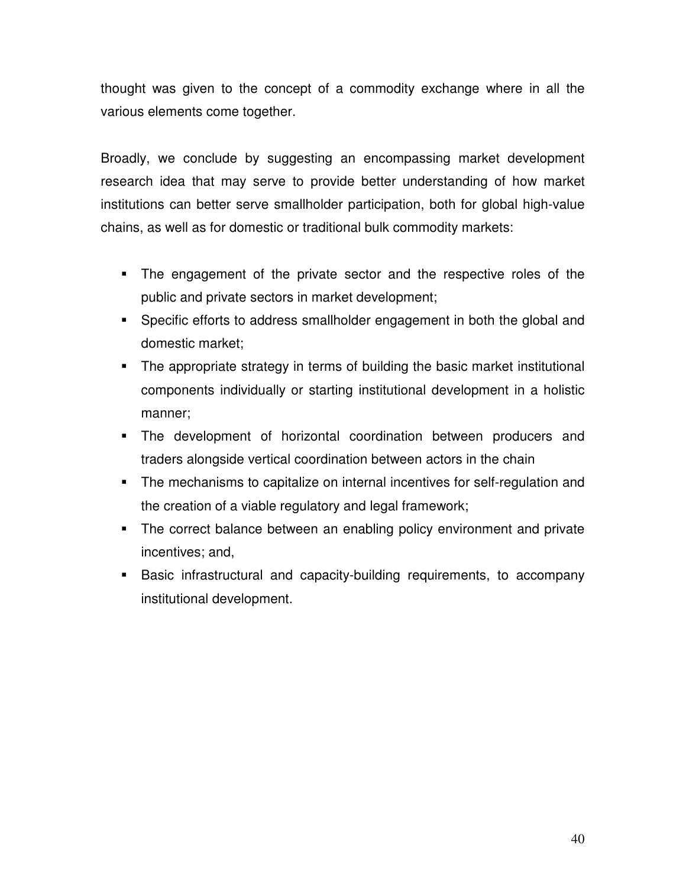thought was given to the concept of a commodity exchange where in all the various elements come together.

Broadly, we conclude by suggesting an encompassing market development research idea that may serve to provide better understanding of how market institutions can better serve smallholder participation, both for global high-value chains, as well as for domestic or traditional bulk commodity markets:

- The engagement of the private sector and the respective roles of the public and private sectors in market development;
- Specific efforts to address smallholder engagement in both the global and domestic market;
- The appropriate strategy in terms of building the basic market institutional components individually or starting institutional development in a holistic manner;
- The development of horizontal coordination between producers and traders alongside vertical coordination between actors in the chain
- The mechanisms to capitalize on internal incentives for self-regulation and the creation of a viable regulatory and legal framework;
- **The correct balance between an enabling policy environment and private** incentives; and,
- Basic infrastructural and capacity-building requirements, to accompany institutional development.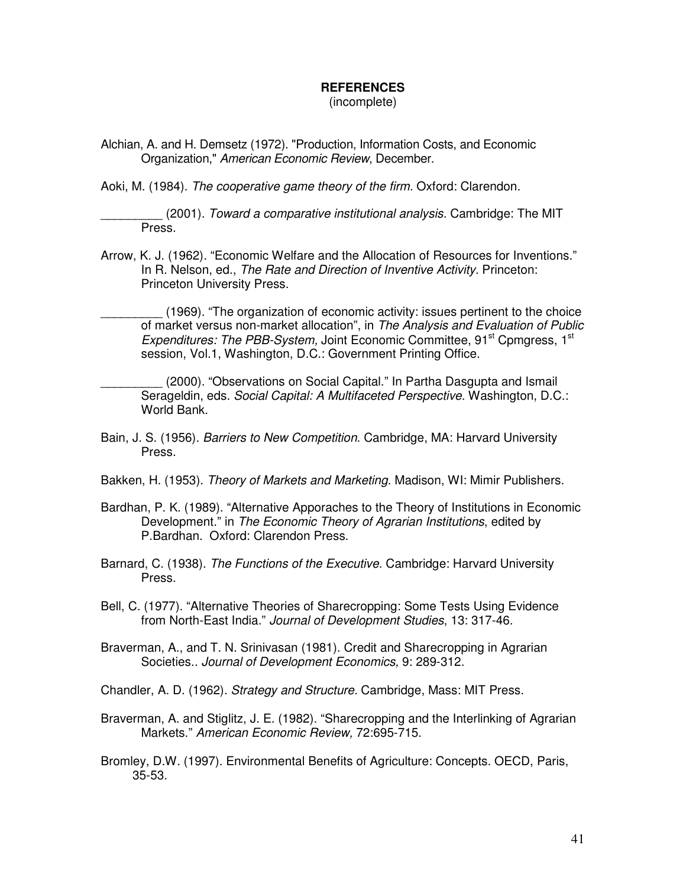#### **REFERENCES**

(incomplete)

Alchian, A. and H. Demsetz (1972). "Production, Information Costs, and Economic Organization," American Economic Review, December.

Aoki, M. (1984). The cooperative game theory of the firm. Oxford: Clarendon.

(2001). Toward a comparative institutional analysis. Cambridge: The MIT Press.

Arrow, K. J. (1962). "Economic Welfare and the Allocation of Resources for Inventions." In R. Nelson, ed., The Rate and Direction of Inventive Activity. Princeton: Princeton University Press.

(1969). "The organization of economic activity: issues pertinent to the choice of market versus non-market allocation", in The Analysis and Evaluation of Public Expenditures: The PBB-System, Joint Economic Committee, 91<sup>st</sup> Comgress, 1<sup>st</sup> session, Vol.1, Washington, D.C.: Government Printing Office.

(2000). "Observations on Social Capital." In Partha Dasgupta and Ismail Serageldin, eds. Social Capital: A Multifaceted Perspective. Washington, D.C.: World Bank.

- Bain, J. S. (1956). Barriers to New Competition. Cambridge, MA: Harvard University Press.
- Bakken, H. (1953). Theory of Markets and Marketing. Madison, WI: Mimir Publishers.
- Bardhan, P. K. (1989). "Alternative Apporaches to the Theory of Institutions in Economic Development." in The Economic Theory of Agrarian Institutions, edited by P.Bardhan. Oxford: Clarendon Press.
- Barnard, C. (1938). The Functions of the Executive. Cambridge: Harvard University Press.

Bell, C. (1977). "Alternative Theories of Sharecropping: Some Tests Using Evidence from North-East India." Journal of Development Studies, 13: 317-46.

- Braverman, A., and T. N. Srinivasan (1981). Credit and Sharecropping in Agrarian Societies.. Journal of Development Economics, 9: 289-312.
- Chandler, A. D. (1962). Strategy and Structure. Cambridge, Mass: MIT Press.
- Braverman, A. and Stiglitz, J. E. (1982). "Sharecropping and the Interlinking of Agrarian Markets." American Economic Review, 72:695-715.
- Bromley, D.W. (1997). Environmental Benefits of Agriculture: Concepts. OECD, Paris, 35-53.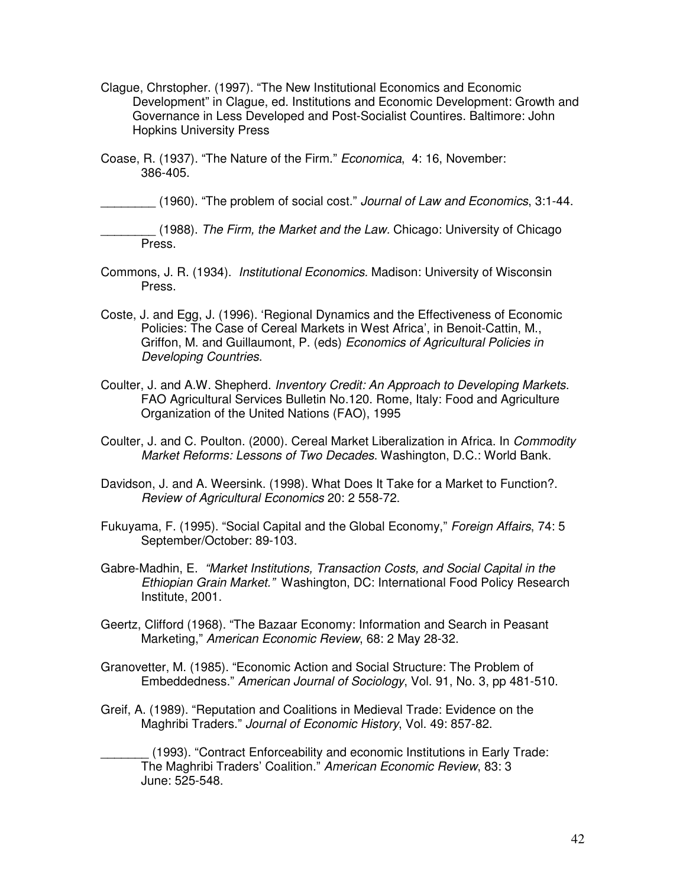- Clague, Chrstopher. (1997). "The New Institutional Economics and Economic Development" in Clague, ed. Institutions and Economic Development: Growth and Governance in Less Developed and Post-Socialist Countires. Baltimore: John Hopkins University Press
- Coase, R. (1937). "The Nature of the Firm." Economica, 4: 16, November: 386-405.

(1960). "The problem of social cost." Journal of Law and Economics, 3:1-44.

(1988). The Firm, the Market and the Law. Chicago: University of Chicago Press.

- Commons, J. R. (1934). Institutional Economics. Madison: University of Wisconsin Press.
- Coste, J. and Egg, J. (1996). 'Regional Dynamics and the Effectiveness of Economic Policies: The Case of Cereal Markets in West Africa', in Benoit-Cattin, M., Griffon, M. and Guillaumont, P. (eds) Economics of Agricultural Policies in Developing Countries.
- Coulter, J. and A.W. Shepherd. Inventory Credit: An Approach to Developing Markets. FAO Agricultural Services Bulletin No.120. Rome, Italy: Food and Agriculture Organization of the United Nations (FAO), 1995
- Coulter, J. and C. Poulton. (2000). Cereal Market Liberalization in Africa. In Commodity Market Reforms: Lessons of Two Decades. Washington, D.C.: World Bank.
- Davidson, J. and A. Weersink. (1998). What Does It Take for a Market to Function?. Review of Agricultural Economics 20: 2 558-72.
- Fukuyama, F. (1995). "Social Capital and the Global Economy," Foreign Affairs, 74: 5 September/October: 89-103.
- Gabre-Madhin, E. "Market Institutions, Transaction Costs, and Social Capital in the Ethiopian Grain Market." Washington, DC: International Food Policy Research Institute, 2001.
- Geertz, Clifford (1968). "The Bazaar Economy: Information and Search in Peasant Marketing," American Economic Review, 68: 2 May 28-32.
- Granovetter, M. (1985). "Economic Action and Social Structure: The Problem of Embeddedness." American Journal of Sociology, Vol. 91, No. 3, pp 481-510.
- Greif, A. (1989). "Reputation and Coalitions in Medieval Trade: Evidence on the Maghribi Traders." Journal of Economic History, Vol. 49: 857-82.

(1993). "Contract Enforceability and economic Institutions in Early Trade: The Maghribi Traders' Coalition." American Economic Review, 83: 3 June: 525-548.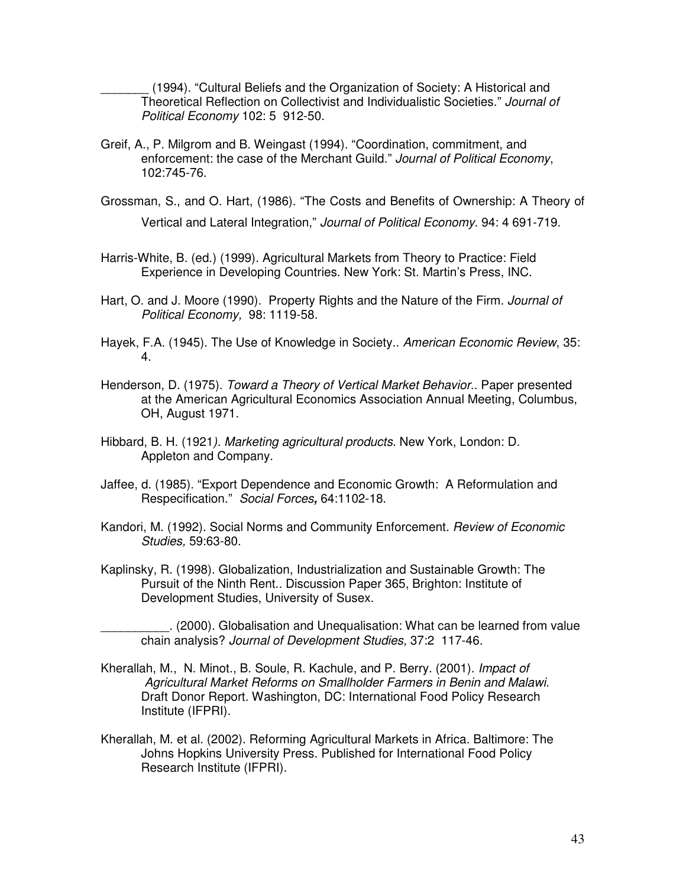\_\_\_\_\_\_\_ (1994). "Cultural Beliefs and the Organization of Society: A Historical and Theoretical Reflection on Collectivist and Individualistic Societies." Journal of Political Economy 102: 5 912-50.

- Greif, A., P. Milgrom and B. Weingast (1994). "Coordination, commitment, and enforcement: the case of the Merchant Guild." Journal of Political Economy, 102:745-76.
- Grossman, S., and O. Hart, (1986). "The Costs and Benefits of Ownership: A Theory of Vertical and Lateral Integration," Journal of Political Economy. 94: 4 691-719.
- Harris-White, B. (ed.) (1999). Agricultural Markets from Theory to Practice: Field Experience in Developing Countries. New York: St. Martin's Press, INC.
- Hart, O. and J. Moore (1990). Property Rights and the Nature of the Firm. Journal of Political Economy, 98: 1119-58.
- Hayek, F.A. (1945). The Use of Knowledge in Society.. American Economic Review, 35: 4.
- Henderson, D. (1975). Toward a Theory of Vertical Market Behavior.. Paper presented at the American Agricultural Economics Association Annual Meeting, Columbus, OH, August 1971.
- Hibbard, B. H. (1921). Marketing agricultural products. New York, London: D. Appleton and Company.
- Jaffee, d. (1985). "Export Dependence and Economic Growth: A Reformulation and Respecification." Social Forces**,** 64:1102-18.
- Kandori, M. (1992). Social Norms and Community Enforcement. Review of Economic Studies, 59:63-80.
- Kaplinsky, R. (1998). Globalization, Industrialization and Sustainable Growth: The Pursuit of the Ninth Rent.. Discussion Paper 365, Brighton: Institute of Development Studies, University of Susex.

\_\_\_\_\_\_\_\_\_\_. (2000). Globalisation and Unequalisation: What can be learned from value chain analysis? Journal of Development Studies, 37:2 117-46.

- Kherallah, M., N. Minot., B. Soule, R. Kachule, and P. Berry. (2001). Impact of Agricultural Market Reforms on Smallholder Farmers in Benin and Malawi. Draft Donor Report. Washington, DC: International Food Policy Research Institute (IFPRI).
- Kherallah, M. et al. (2002). Reforming Agricultural Markets in Africa. Baltimore: The Johns Hopkins University Press. Published for International Food Policy Research Institute (IFPRI).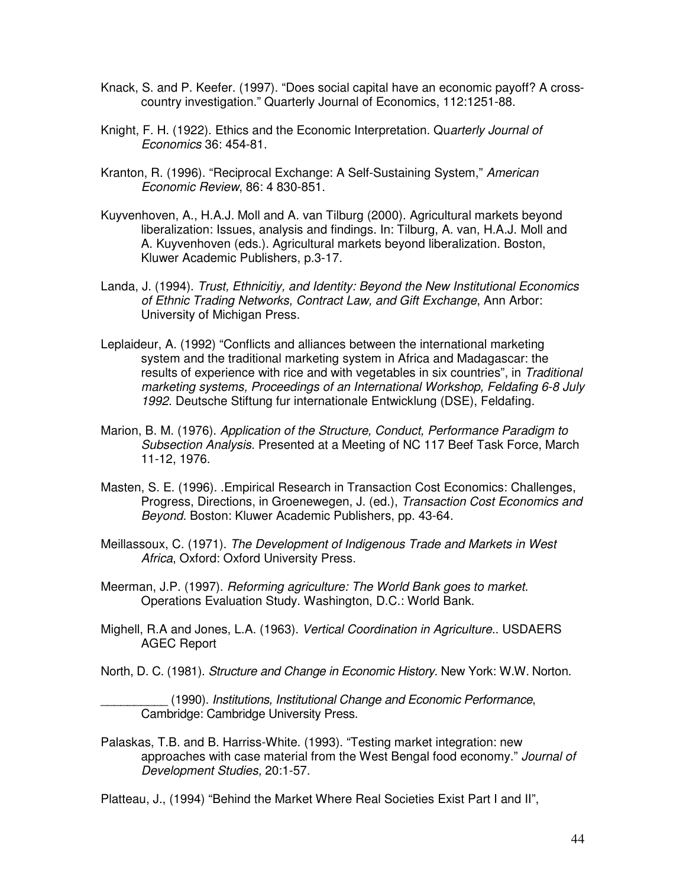- Knack, S. and P. Keefer. (1997). "Does social capital have an economic payoff? A crosscountry investigation." Quarterly Journal of Economics, 112:1251-88.
- Knight, F. H. (1922). Ethics and the Economic Interpretation. Quarterly Journal of Economics 36: 454-81.
- Kranton, R. (1996). "Reciprocal Exchange: A Self-Sustaining System," American Economic Review, 86: 4 830-851.
- Kuyvenhoven, A., H.A.J. Moll and A. van Tilburg (2000). Agricultural markets beyond liberalization: Issues, analysis and findings. In: Tilburg, A. van, H.A.J. Moll and A. Kuyvenhoven (eds.). Agricultural markets beyond liberalization. Boston, Kluwer Academic Publishers, p.3-17.
- Landa, J. (1994). Trust, Ethnicitiy, and Identity: Beyond the New Institutional Economics of Ethnic Trading Networks, Contract Law, and Gift Exchange, Ann Arbor: University of Michigan Press.
- Leplaideur, A. (1992) "Conflicts and alliances between the international marketing system and the traditional marketing system in Africa and Madagascar: the results of experience with rice and with vegetables in six countries", in Traditional marketing systems, Proceedings of an International Workshop, Feldafing 6-8 July 1992. Deutsche Stiftung fur internationale Entwicklung (DSE), Feldafing.
- Marion, B. M. (1976). Application of the Structure, Conduct, Performance Paradigm to Subsection Analysis. Presented at a Meeting of NC 117 Beef Task Force, March 11-12, 1976.
- Masten, S. E. (1996). .Empirical Research in Transaction Cost Economics: Challenges, Progress, Directions, in Groenewegen, J. (ed.), Transaction Cost Economics and Beyond. Boston: Kluwer Academic Publishers, pp. 43-64.
- Meillassoux, C. (1971). The Development of Indigenous Trade and Markets in West Africa, Oxford: Oxford University Press.
- Meerman, J.P. (1997). Reforming agriculture: The World Bank goes to market. Operations Evaluation Study. Washington, D.C.: World Bank.
- Mighell, R.A and Jones, L.A. (1963). Vertical Coordination in Agriculture.. USDAERS AGEC Report
- North, D. C. (1981). Structure and Change in Economic History. New York: W.W. Norton.

\_\_\_\_\_\_\_\_\_\_ (1990). Institutions, Institutional Change and Economic Performance, Cambridge: Cambridge University Press.

Palaskas, T.B. and B. Harriss-White. (1993). "Testing market integration: new approaches with case material from the West Bengal food economy." Journal of Development Studies, 20:1-57.

Platteau, J., (1994) "Behind the Market Where Real Societies Exist Part I and II",